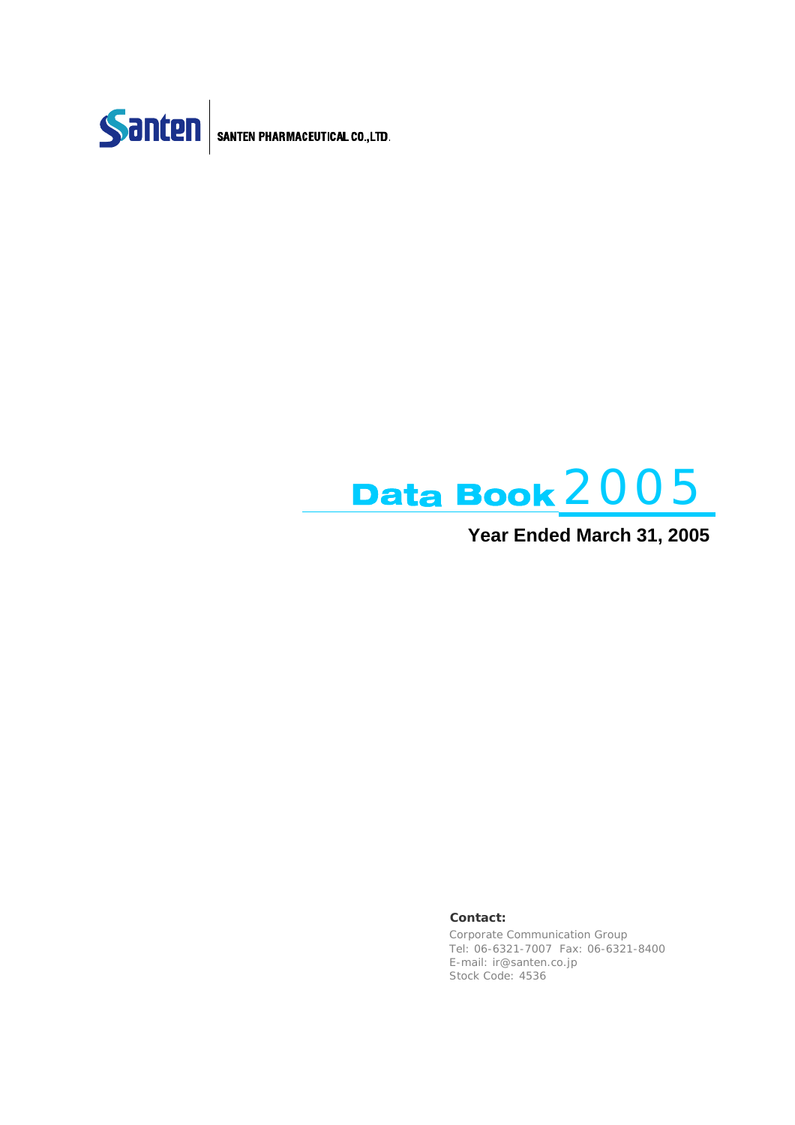



### **Year Ended March 31, 2005**

#### **Contact:**

Corporate Communication Group Tel: 06-6321-7007 Fax: 06-6321-8400 E-mail: ir@santen.co.jp Stock Code: 4536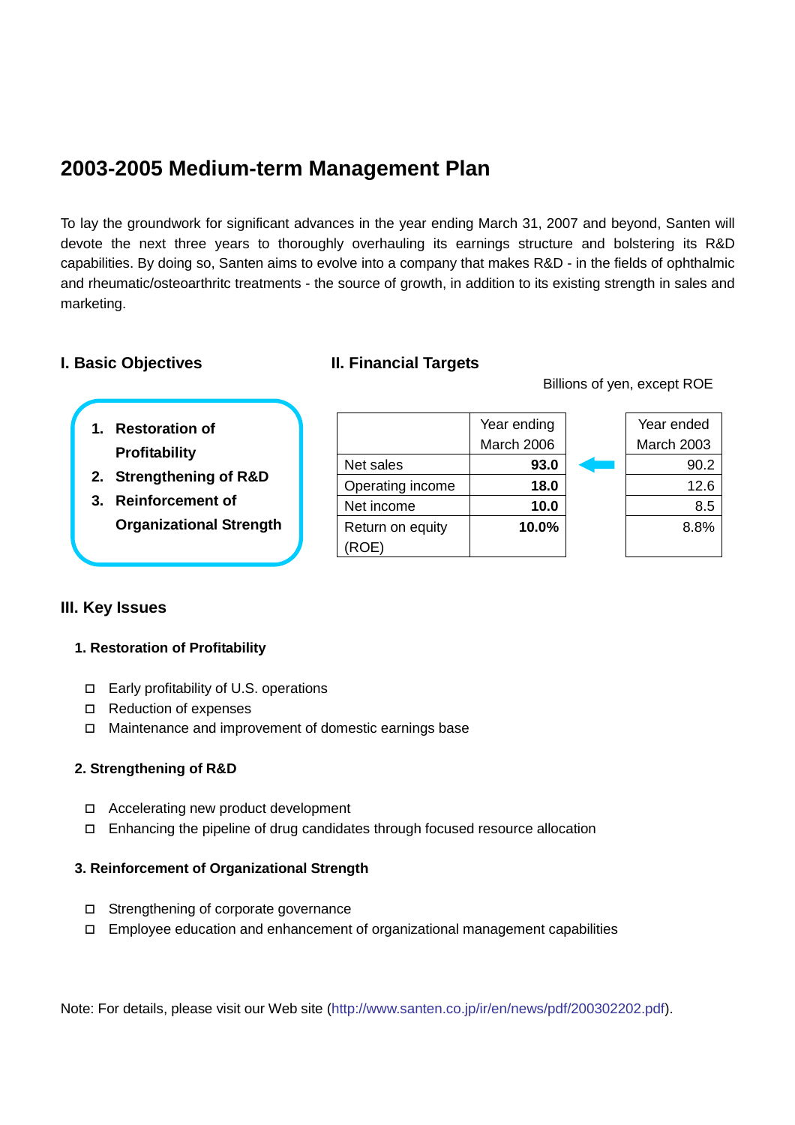### **2003-2005 Medium-term Management Plan**

To lay the groundwork for significant advances in the year ending March 31, 2007 and beyond, Santen will devote the next three years to thoroughly overhauling its earnings structure and bolstering its R&D capabilities. By doing so, Santen aims to evolve into a company that makes R&D - in the fields of ophthalmic and rheumatic/osteoarthritc treatments - the source of growth, in addition to its existing strength in sales and marketing.

### **I. Basic Objectives II. Financial Targets**

Return on equity

(ROE)

Billions of yen, except ROE

**10.0%** 8.8%

 Year ended March 2003

 Year ending March 2006

Net sales **93.0** 93.0 Operating income **18.0** 12.6 Net income  $\begin{array}{|c|c|c|c|c|c|} \hline \text{Net income} & \text{10.0} & \text{} & \text{} & \text{8.5} \\\hline \end{array}$ 

| 1. Restoration of |
|-------------------|
| Profitability     |

- **2. Strengthening of R&D**
- **3. Reinforcement of Organizational Strength**

### **III. Key Issues**

#### **1. Restoration of Profitability**

- Early profitability of U.S. operations
- □ Reduction of expenses
- Maintenance and improvement of domestic earnings base

#### **2. Strengthening of R&D**

- □ Accelerating new product development
- Enhancing the pipeline of drug candidates through focused resource allocation

#### **3. Reinforcement of Organizational Strength**

- □ Strengthening of corporate governance
- $\Box$  Employee education and enhancement of organizational management capabilities

Note: For details, please visit our Web site (http://www.santen.co.jp/ir/en/news/pdf/200302202.pdf).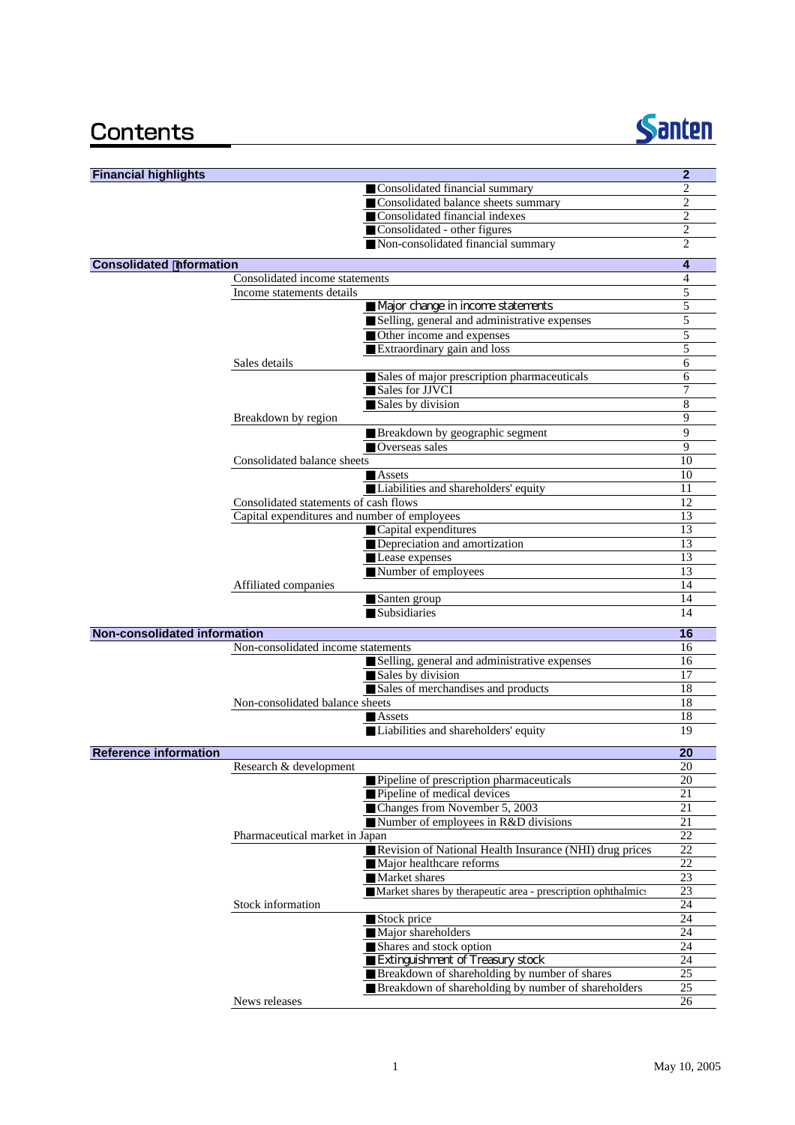### Contents



| <b>Financial highlights</b>         |                                              |                                                                                   | $\overline{2}$  |
|-------------------------------------|----------------------------------------------|-----------------------------------------------------------------------------------|-----------------|
|                                     |                                              | Consolidated financial summary                                                    | 2               |
|                                     |                                              | Consolidated balance sheets summary                                               | $\overline{c}$  |
|                                     |                                              | Consolidated financial indexes                                                    | $\overline{c}$  |
|                                     |                                              | Consolidated - other figures                                                      | 2               |
|                                     |                                              | Non-consolidated financial summary                                                | $\overline{c}$  |
| <b>Consolidated nformation</b>      |                                              |                                                                                   | 4               |
|                                     | Consolidated income statements               |                                                                                   | 4               |
|                                     | Income statements details                    |                                                                                   | 5<br>5          |
|                                     |                                              | Major change in income statements<br>Selling, general and administrative expenses | 5               |
|                                     |                                              | Other income and expenses                                                         | 5               |
|                                     |                                              | Extraordinary gain and loss                                                       | 5               |
|                                     | Sales details                                |                                                                                   | 6               |
|                                     |                                              | Sales of major prescription pharmaceuticals                                       | 6               |
|                                     |                                              | Sales for JJVCI                                                                   | 7               |
|                                     |                                              | Sales by division                                                                 | 8               |
|                                     | Breakdown by region                          |                                                                                   | 9               |
|                                     |                                              | Breakdown by geographic segment                                                   | 9               |
|                                     |                                              | Overseas sales                                                                    | 9               |
|                                     | Consolidated balance sheets                  |                                                                                   | 10              |
|                                     |                                              | Assets<br>Liabilities and shareholders' equity                                    | 10<br>11        |
|                                     | Consolidated statements of cash flows        |                                                                                   | 12              |
|                                     | Capital expenditures and number of employees |                                                                                   | 13              |
|                                     |                                              | Capital expenditures                                                              | 13              |
|                                     |                                              | Depreciation and amortization                                                     | 13              |
|                                     |                                              | Lease expenses                                                                    | 13              |
|                                     |                                              | Number of employees                                                               | 13              |
|                                     | Affiliated companies                         |                                                                                   | 14              |
|                                     |                                              | Santen group                                                                      | 14              |
|                                     |                                              | Subsidiaries                                                                      | 14              |
| <b>Non-consolidated information</b> |                                              |                                                                                   | 16              |
|                                     | Non-consolidated income statements           |                                                                                   | 16              |
|                                     |                                              | Selling, general and administrative expenses                                      | 16              |
|                                     |                                              | Sales by division<br>Sales of merchandises and products                           | 17<br>18        |
|                                     | Non-consolidated balance sheets              |                                                                                   | 18              |
|                                     |                                              | Assets                                                                            | 18              |
|                                     |                                              | Liabilities and shareholders' equity                                              | 19              |
|                                     |                                              |                                                                                   |                 |
| <b>Reference information</b>        |                                              |                                                                                   | 20              |
|                                     | Research & development                       | Pipeline of prescription pharmaceuticals                                          | 20<br>20        |
|                                     |                                              | Pipeline of medical devices                                                       | 21              |
|                                     |                                              | Changes from November 5, 2003                                                     | 21              |
|                                     |                                              | Number of employees in R&D divisions                                              | 21              |
|                                     | Pharmaceutical market in Japan               |                                                                                   | 22              |
|                                     |                                              | Revision of National Health Insurance (NHI) drug prices                           | 22              |
|                                     |                                              | Major healthcare reforms                                                          | 22              |
|                                     |                                              | Market shares                                                                     | 23              |
|                                     |                                              | Market shares by therapeutic area - prescription ophthalmics                      | $\overline{23}$ |
|                                     | Stock information                            |                                                                                   | 24<br>24        |
|                                     |                                              | Stock price<br>Major shareholders                                                 | 24              |
|                                     |                                              | Shares and stock option                                                           | 24              |
|                                     |                                              | Extinguishment of Treasury stock                                                  | 24              |
|                                     |                                              | Breakdown of shareholding by number of shares                                     | 25              |
|                                     |                                              | Breakdown of shareholding by number of shareholders                               | 25              |
|                                     | News releases                                |                                                                                   | 26              |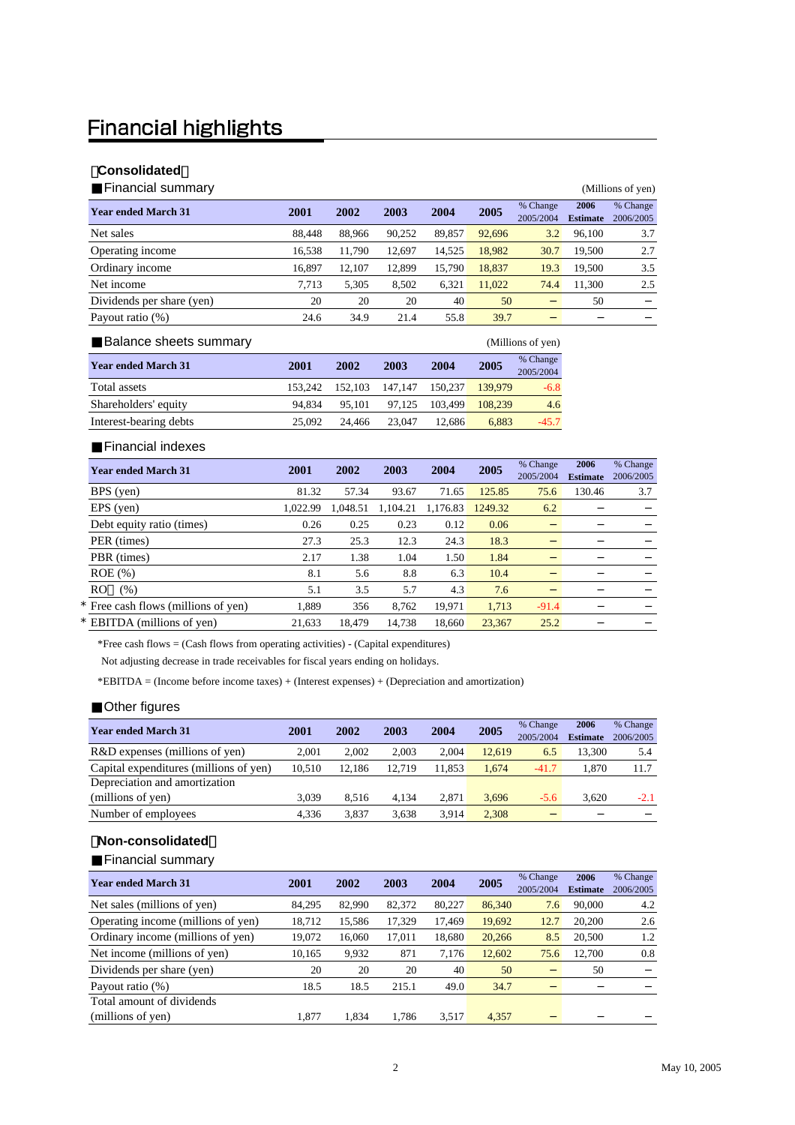### **Financial highlights**

#### 【**Consolidated**】

Financial summary (Millions of yen)

| <b>.</b>                   |        |        |        |        |        |                       |                         |                       |
|----------------------------|--------|--------|--------|--------|--------|-----------------------|-------------------------|-----------------------|
| <b>Year ended March 31</b> | 2001   | 2002   | 2003   | 2004   | 2005   | % Change<br>2005/2004 | 2006<br><b>Estimate</b> | % Change<br>2006/2005 |
| Net sales                  | 88.448 | 88.966 | 90.252 | 89.857 | 92.696 | 3.2                   | 96,100                  | 3.7                   |
| Operating income           | 16.538 | 11.790 | 12.697 | 14,525 | 18,982 | 30.7                  | 19.500                  | 2.7                   |
| Ordinary income            | 16.897 | 12.107 | 12.899 | 15.790 | 18.837 | 19.3                  | 19.500                  | 3.5                   |
| Net income                 | 7,713  | 5,305  | 8.502  | 6.321  | 11.022 | 74.4                  | 11.300                  | 2.5                   |
| Dividends per share (yen)  | 20     | 20     | 20     | 40     | 50     |                       | 50                      |                       |
| Payout ratio (%)           | 24.6   | 34.9   | 21.4   | 55.8   | 39.7   |                       |                         |                       |
|                            |        |        |        |        |        |                       |                         |                       |

| Balance sheets summary     |         |         |         |         |         | (Millions of yen)     |
|----------------------------|---------|---------|---------|---------|---------|-----------------------|
| <b>Year ended March 31</b> | 2001    | 2002    | 2003    | 2004    | 2005    | % Change<br>2005/2004 |
| Total assets               | 153.242 | 152.103 | 147.147 | 150.237 | 139,979 | $-6.8$                |
| Shareholders' equity       | 94.834  | 95.101  | 97.125  | 103.499 | 108.239 | 4.6                   |
| Interest-bearing debts     | 25,092  | 24.466  | 23.047  | 12.686  | 6.883   | $-45.7$               |

Financial indexes

| <b>Year ended March 31</b>          | 2001     | 2002     | 2003     | 2004     | 2005    | % Change<br>2005/2004 | 2006<br><b>Estimate</b> | % Change<br>2006/2005 |
|-------------------------------------|----------|----------|----------|----------|---------|-----------------------|-------------------------|-----------------------|
| BPS (yen)                           | 81.32    | 57.34    | 93.67    | 71.65    | 125.85  | 75.6                  | 130.46                  | 3.7                   |
| EPS (yen)                           | 1.022.99 | 1.048.51 | 1,104.21 | 1.176.83 | 1249.32 | 6.2                   |                         |                       |
| Debt equity ratio (times)           | 0.26     | 0.25     | 0.23     | 0.12     | 0.06    |                       |                         |                       |
| PER (times)                         | 27.3     | 25.3     | 12.3     | 24.3     | 18.3    |                       |                         |                       |
| PBR (times)                         | 2.17     | 1.38     | 1.04     | 1.50     | 1.84    |                       |                         |                       |
| $ROE$ $(\%)$                        | 8.1      | 5.6      | 8.8      | 6.3      | 10.4    |                       |                         |                       |
| RO<br>(% )                          | 5.1      | 3.5      | 5.7      | 4.3      | 7.6     |                       |                         |                       |
| * Free cash flows (millions of yen) | 1.889    | 356      | 8.762    | 19.971   | 1,713   | $-91.4$               |                         |                       |
| * EBITDA (millions of yen)          | 21.633   | 18.479   | 14.738   | 18.660   | 23,367  | 25.2                  |                         |                       |

\*Free cash flows = (Cash flows from operating activities) - (Capital expenditures)

Not adjusting decrease in trade receivables for fiscal years ending on holidays.

\*EBITDA = (Income before income taxes) + (Interest expenses) + (Depreciation and amortization)

#### Other figures

|                                        |        | 2002   | 2003   | 2004   |        | % Change  | 2006            | % Change  |
|----------------------------------------|--------|--------|--------|--------|--------|-----------|-----------------|-----------|
| <b>Year ended March 31</b>             | 2001   |        |        |        | 2005   | 2005/2004 | <b>Estimate</b> | 2006/2005 |
| R&D expenses (millions of yen)         | 2.001  | 2.002  | 2.003  | 2.004  | 12.619 | 6.5       | 13.300          | 5.4       |
| Capital expenditures (millions of yen) | 10.510 | 12.186 | 12.719 | 11.853 | 1.674  | $-41.7$   | 1.870           | 11.7      |
| Depreciation and amortization          |        |        |        |        |        |           |                 |           |
| (millions of yen)                      | 3.039  | 8.516  | 4.134  | 2.871  | 3.696  | $-5.6$    | 3.620           | $-2.1$    |
| Number of employees                    | 4.336  | 3.837  | 3.638  | 3.914  | 2.308  |           |                 |           |

#### 【**Non-consolidated**】

Financial summary

| <b>Year ended March 31</b>         | 2001   | 2002   | 2003   | 2004   | 2005   | % Change<br>2005/2004 | 2006<br><b>Estimate</b> | % Change<br>2006/2005 |
|------------------------------------|--------|--------|--------|--------|--------|-----------------------|-------------------------|-----------------------|
| Net sales (millions of yen)        | 84,295 | 82,990 | 82,372 | 80.227 | 86,340 | 7.6                   | 90,000                  | 4.2                   |
| Operating income (millions of yen) | 18,712 | 15,586 | 17,329 | 17,469 | 19,692 | 12.7                  | 20,200                  | 2.6                   |
| Ordinary income (millions of yen)  | 19.072 | 16,060 | 17.011 | 18,680 | 20,266 | 8.5                   | 20,500                  | 1.2                   |
| Net income (millions of yen)       | 10,165 | 9,932  | 871    | 7,176  | 12,602 | 75.6                  | 12,700                  | 0.8                   |
| Dividends per share (yen)          | 20     | 20     | 20     | 40     | 50     |                       | 50                      |                       |
| Payout ratio (%)                   | 18.5   | 18.5   | 215.1  | 49.0   | 34.7   |                       |                         |                       |
| Total amount of dividends          |        |        |        |        |        |                       |                         |                       |
| (millions of yen)                  | 1.877  | 1.834  | 1.786  | 3.517  | 4.357  |                       |                         |                       |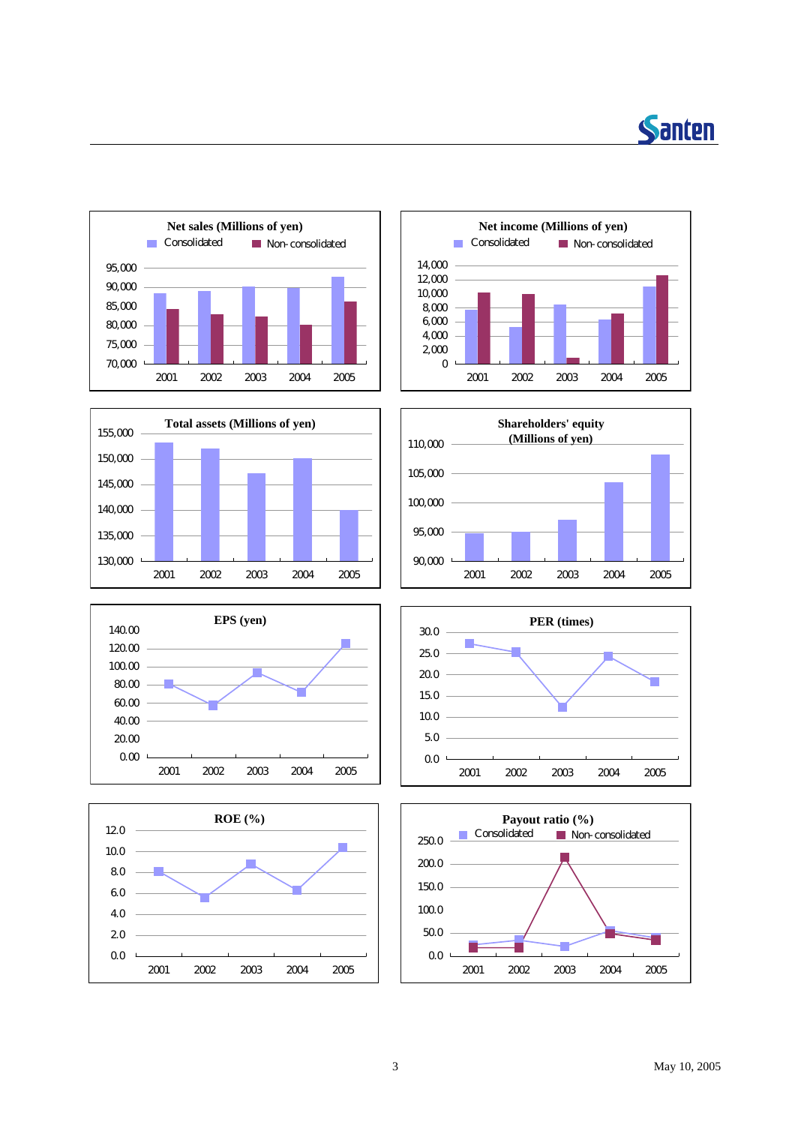















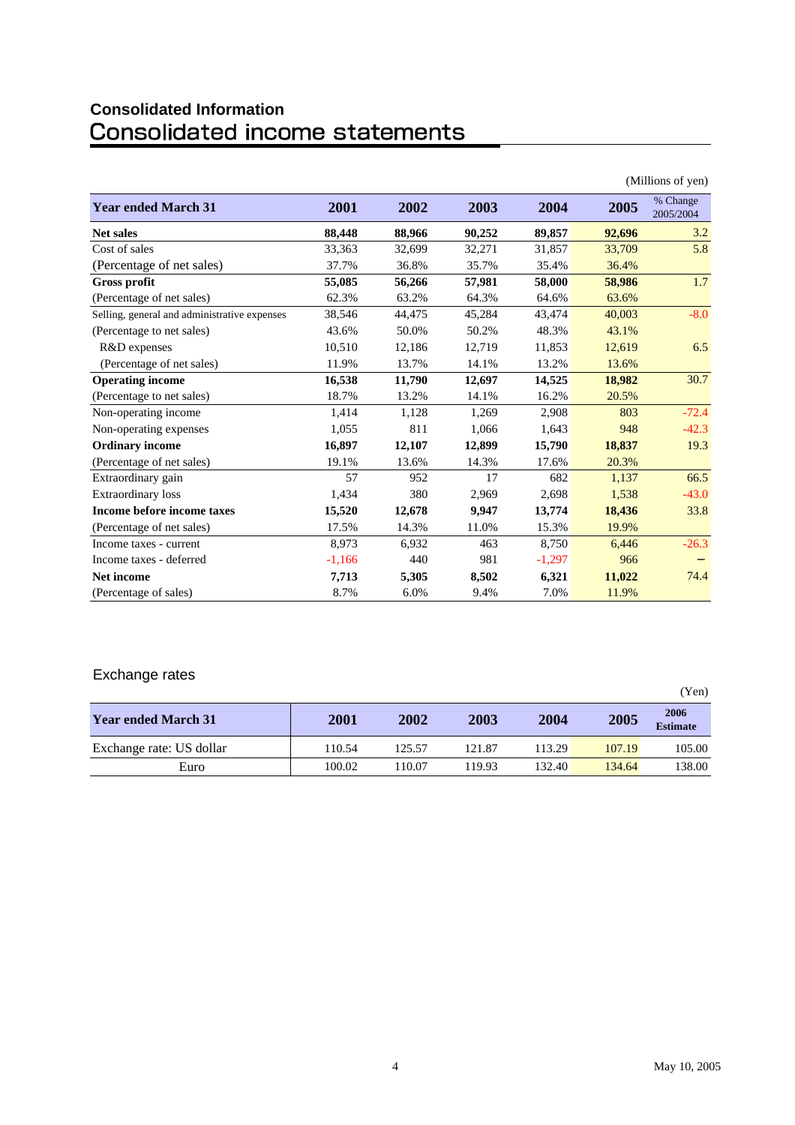# **Consolidated Information**

|                                              |          |        |        |          |        | (Millions of yen)     |
|----------------------------------------------|----------|--------|--------|----------|--------|-----------------------|
| <b>Year ended March 31</b>                   | 2001     | 2002   | 2003   | 2004     | 2005   | % Change<br>2005/2004 |
| <b>Net sales</b>                             | 88,448   | 88,966 | 90,252 | 89,857   | 92,696 | 3.2                   |
| Cost of sales                                | 33,363   | 32,699 | 32,271 | 31,857   | 33,709 | 5.8                   |
| (Percentage of net sales)                    | 37.7%    | 36.8%  | 35.7%  | 35.4%    | 36.4%  |                       |
| <b>Gross profit</b>                          | 55,085   | 56,266 | 57,981 | 58,000   | 58,986 | 1.7                   |
| (Percentage of net sales)                    | 62.3%    | 63.2%  | 64.3%  | 64.6%    | 63.6%  |                       |
| Selling, general and administrative expenses | 38,546   | 44,475 | 45,284 | 43,474   | 40,003 | $-8.0$                |
| (Percentage to net sales)                    | 43.6%    | 50.0%  | 50.2%  | 48.3%    | 43.1%  |                       |
| R&D expenses                                 | 10.510   | 12,186 | 12,719 | 11,853   | 12,619 | 6.5                   |
| (Percentage of net sales)                    | 11.9%    | 13.7%  | 14.1%  | 13.2%    | 13.6%  |                       |
| <b>Operating income</b>                      | 16,538   | 11,790 | 12,697 | 14,525   | 18,982 | 30.7                  |
| (Percentage to net sales)                    | 18.7%    | 13.2%  | 14.1%  | 16.2%    | 20.5%  |                       |
| Non-operating income                         | 1,414    | 1,128  | 1,269  | 2,908    | 803    | $-72.4$               |
| Non-operating expenses                       | 1,055    | 811    | 1,066  | 1,643    | 948    | $-42.3$               |
| <b>Ordinary income</b>                       | 16,897   | 12,107 | 12,899 | 15,790   | 18,837 | 19.3                  |
| (Percentage of net sales)                    | 19.1%    | 13.6%  | 14.3%  | 17.6%    | 20.3%  |                       |
| Extraordinary gain                           | 57       | 952    | 17     | 682      | 1,137  | 66.5                  |
| <b>Extraordinary</b> loss                    | 1,434    | 380    | 2,969  | 2,698    | 1,538  | $-43.0$               |
| <b>Income before income taxes</b>            | 15,520   | 12,678 | 9,947  | 13,774   | 18,436 | 33.8                  |
| (Percentage of net sales)                    | 17.5%    | 14.3%  | 11.0%  | 15.3%    | 19.9%  |                       |
| Income taxes - current                       | 8,973    | 6,932  | 463    | 8,750    | 6,446  | $-26.3$               |
| Income taxes - deferred                      | $-1,166$ | 440    | 981    | $-1,297$ | 966    |                       |
| <b>Net income</b>                            | 7,713    | 5,305  | 8,502  | 6,321    | 11,022 | 74.4                  |
| (Percentage of sales)                        | 8.7%     | 6.0%   | 9.4%   | 7.0%     | 11.9%  |                       |

### Exchange rates

|                            |        |        |        |        |        | (Yen)                   |
|----------------------------|--------|--------|--------|--------|--------|-------------------------|
| <b>Year ended March 31</b> | 2001   | 2002   | 2003   | 2004   | 2005   | 2006<br><b>Estimate</b> |
| Exchange rate: US dollar   | 110.54 | 125.57 | 121.87 | 113.29 | 107.19 | 105.00                  |
| Euro                       | 100.02 | 110.07 | 119.93 | 132.40 | 134.64 | 138.00                  |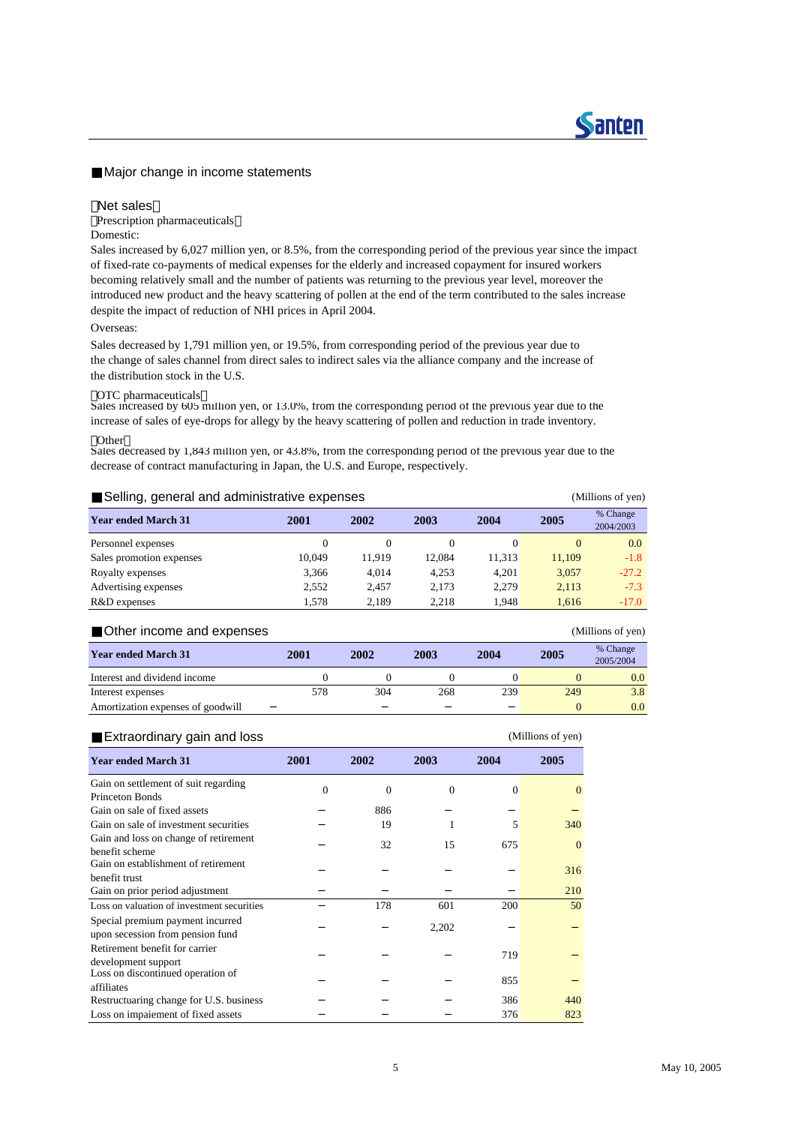#### Major change in income statements

#### Net sales

Prescription pharmaceuticals

#### Domestic:

Sales increased by 6,027 million yen, or 8.5%, from the corresponding period of the previous year since the impact of fixed-rate co-payments of medical expenses for the elderly and increased copayment for insured workers becoming relatively small and the number of patients was returning to the previous year level, moreover the introduced new product and the heavy scattering of pollen at the end of the term contributed to the sales increase despite the impact of reduction of NHI prices in April 2004.

#### Overseas:

Sales decreased by 1,791 million yen, or 19.5%, from corresponding period of the previous year due to the change of sales channel from direct sales to indirect sales via the alliance company and the increase of the distribution stock in the U.S.

#### OTC pharmaceuticals

Sales increased by 605 million yen, or 13.0%, from the corresponding period of the previous year due to the increase of sales of eye-drops for allegy by the heavy scattering of pollen and reduction in trade inventory.

#### Other

Sales decreased by 1,843 million yen, or 43.8%, from the corresponding period of the previous year due to the decrease of contract manufacturing in Japan, the U.S. and Europe, respectively.

| Selling, general and administrative expenses<br>(Millions of yen) |        |        |          |        |          |                       |  |  |
|-------------------------------------------------------------------|--------|--------|----------|--------|----------|-----------------------|--|--|
| <b>Year ended March 31</b>                                        | 2001   | 2002   | 2003     | 2004   | 2005     | % Change<br>2004/2003 |  |  |
| Personnel expenses                                                |        | 0      | $\Omega$ |        | $\theta$ | 0.0                   |  |  |
| Sales promotion expenses                                          | 10.049 | 11.919 | 12.084   | 11.313 | 11.109   | $-1.8$                |  |  |
| Royalty expenses                                                  | 3,366  | 4.014  | 4,253    | 4.201  | 3,057    | $-27.2$               |  |  |
| Advertising expenses                                              | 2.552  | 2.457  | 2.173    | 2.279  | 2,113    | $-7.3$                |  |  |
| R&D expenses                                                      | 1.578  | 2,189  | 2.218    | 1.948  | 1,616    | $-17.0$               |  |  |

| Other income and expenses         |      |      |      |      |          | (Millions of yen)     |
|-----------------------------------|------|------|------|------|----------|-----------------------|
| <b>Year ended March 31</b>        | 2001 | 2002 | 2003 | 2004 | 2005     | % Change<br>2005/2004 |
| Interest and dividend income      |      |      |      |      |          | 0.0                   |
| Interest expenses                 | 578  | 304  | 268  | 239  | 249      | 3.8                   |
| Amortization expenses of goodwill |      |      |      |      | $\Omega$ | 0.0 <sub>1</sub>      |

| Extraordinary gain and loss                                          |          |          |                |          | (Millions of yen) |
|----------------------------------------------------------------------|----------|----------|----------------|----------|-------------------|
| <b>Year ended March 31</b>                                           | 2001     | 2002     | 2003           | 2004     | 2005              |
| Gain on settlement of suit regarding                                 | $\Omega$ | $\Omega$ | $\overline{0}$ | $\Omega$ | $\theta$          |
| <b>Princeton Bonds</b>                                               |          |          |                |          |                   |
| Gain on sale of fixed assets                                         |          | 886      |                |          |                   |
| Gain on sale of investment securities                                |          | 19       | 1              | 5        | 340               |
| Gain and loss on change of retirement<br>benefit scheme              |          | 32       | 15             | 675      | $\theta$          |
| Gain on establishment of retirement                                  |          |          |                |          | 316               |
| benefit trust                                                        |          |          |                |          |                   |
| Gain on prior period adjustment                                      |          |          |                |          | 210               |
| Loss on valuation of investment securities                           |          | 178      | 601            | 200      | 50                |
| Special premium payment incurred<br>upon secession from pension fund |          |          | 2,202          |          |                   |
| Retirement benefit for carrier                                       |          |          |                | 719      |                   |
| development support<br>Loss on discontinued operation of             |          |          |                | 855      |                   |
| affiliates                                                           |          |          |                |          |                   |
| Restructuaring change for U.S. business                              |          |          |                | 386      | 440               |
| Loss on impaiement of fixed assets                                   |          |          |                | 376      | 823               |

**Santen**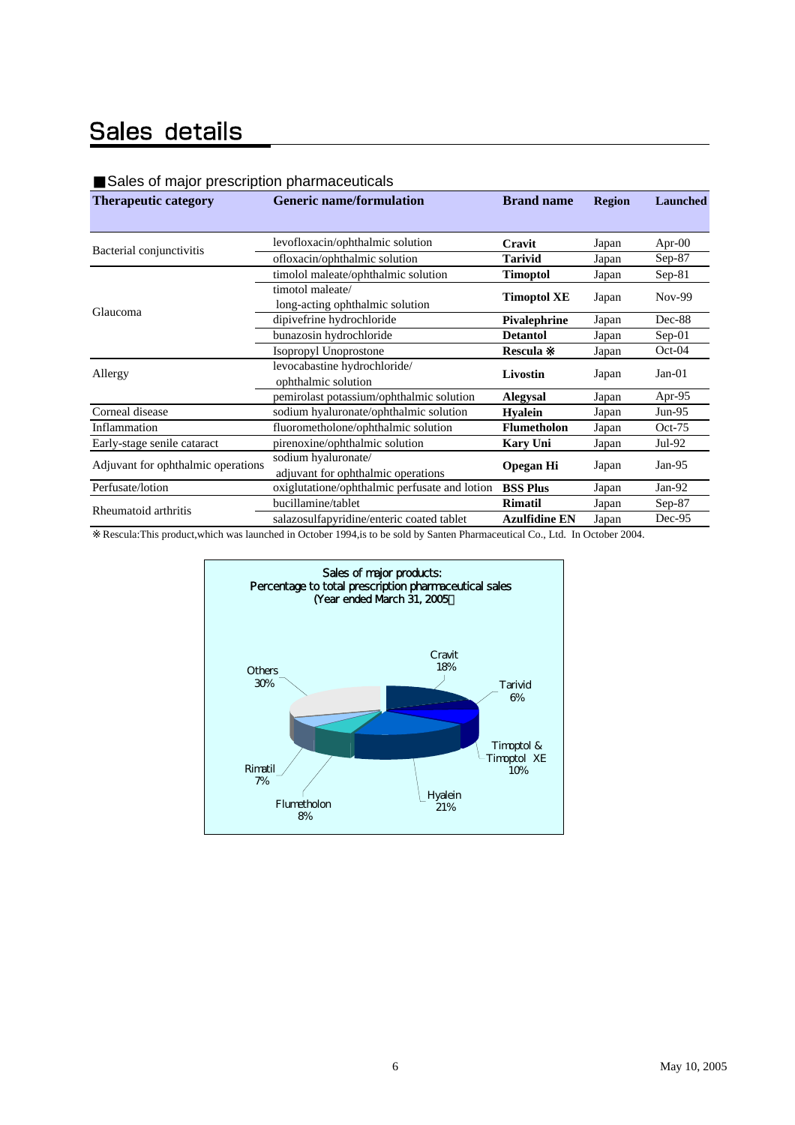### Sales details

#### Sales of major prescription pharmaceuticals

| <b>Therapeutic category</b>        | <b>Generic name/formulation</b>               | <b>Brand name</b>    | <b>Region</b> | Launched  |
|------------------------------------|-----------------------------------------------|----------------------|---------------|-----------|
|                                    |                                               |                      |               |           |
| Bacterial conjunctivitis           | levofloxacin/ophthalmic solution              | Cravit               | Japan         | Apr- $00$ |
|                                    | ofloxacin/ophthalmic solution                 | <b>Tarivid</b>       | Japan         | $Sep-87$  |
|                                    | timolol maleate/ophthalmic solution           | <b>Timoptol</b>      | Japan         | $Sep-81$  |
|                                    | timotol maleate/                              |                      |               | Nov-99    |
| Glaucoma                           | long-acting ophthalmic solution               | <b>Timoptol XE</b>   | Japan         |           |
|                                    | dipivefrine hydrochloride                     | <b>Pivalephrine</b>  | Japan         | Dec-88    |
|                                    | bunazosin hydrochloride                       | <b>Detantol</b>      | Japan         | $Sep-01$  |
|                                    | Isopropyl Unoprostone                         | <b>Rescula</b>       | Japan         | $Oct-04$  |
|                                    | levocabastine hydrochloride/                  |                      |               | $Jan-01$  |
| Allergy                            | ophthalmic solution                           | Livostin             | Japan         |           |
|                                    | pemirolast potassium/ophthalmic solution      | <b>Alegysal</b>      | Japan         | Apr-95    |
| Corneal disease                    | sodium hyaluronate/ophthalmic solution        | <b>Hyalein</b>       | Japan         | $Jun-95$  |
| Inflammation                       | fluorometholone/ophthalmic solution           | <b>Flumetholon</b>   | Japan         | $Oct-75$  |
| Early-stage senile cataract        | pirenoxine/ophthalmic solution                | <b>Kary Uni</b>      | Japan         | $Jul-92$  |
| Adjuvant for ophthalmic operations | sodium hyaluronate/                           |                      |               | Jan- $95$ |
|                                    | adjuvant for ophthalmic operations            | <b>Opegan Hi</b>     | Japan         |           |
| Perfusate/lotion                   | oxiglutatione/ophthalmic perfusate and lotion | <b>BSS Plus</b>      | Japan         | $Jan-92$  |
| Rheumatoid arthritis               | bucillamine/tablet                            | <b>Rimatil</b>       | Japan         | $Sep-87$  |
|                                    | salazosulfapyridine/enteric coated tablet     | <b>Azulfidine EN</b> | Japan         | Dec-95    |
|                                    |                                               |                      |               |           |

Rescula:This product,which was launched in October 1994,is to be sold by Santen Pharmaceutical Co., Ltd. In October 2004.

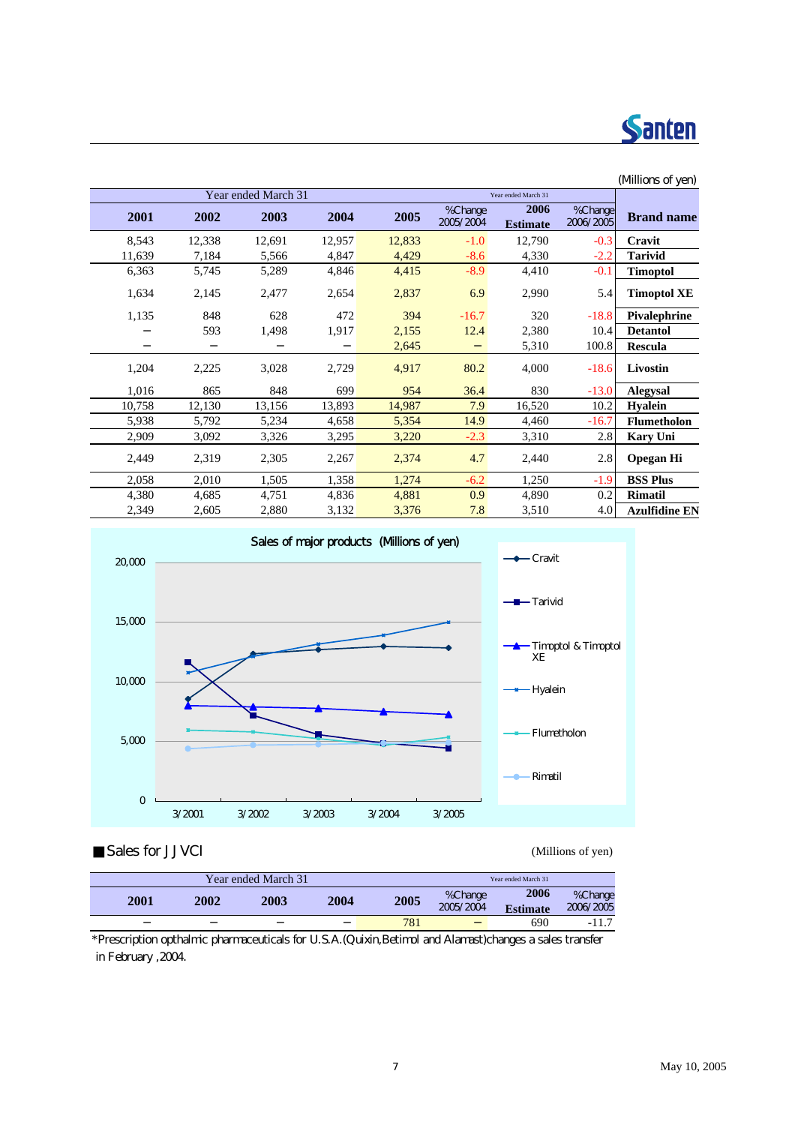

#### (Millions of yen) Year ended March 31 **2001 2002 2003 2004 2005** % Change 2005/2004 **2006 Estimate** % Change<br>2006/2005 **Brand name** 8,543 12,338 12,691 12,957 12,833 -1.0 12,790 -0.3 **Cravit** 11,639 7,184 5,566 4,847 4,429 -8.6 4,330 -2.2 **Tarivid** 6,363 5,745 5,289 4,846 4,415 -8.9 4,410 -0.1 **Timoptol** 1,634 2,145 2,477 2,654 2,837 6.9 2,990 5.4 **Timoptol XE** 1,135 848 628 472 394 -16.7 320 -18.8 **Pivalephrine** 593 1,498 1,917 2,155 12.4 2,380 10.4 **Detantol 2,645** 5,310 100.8 **Rescula** 1,204 2,225 3,028 2,729 4,917 80.2 4,000 -18.6 **Livostin** 1,016 865 848 699 954 36.4 830 -13.0 **Alegysal** 10,758 12,130 13,156 13,893 14,987 7.9 16,520 10.2 **Hyalein** 5,938 5,792 5,234 4,658 5,354 14.9 4,460 -16.7 **Flumetholon** 2,909 3,092 3,326 3,295 3,220 -2.3 3,310 2.8 **Kary Uni** 2,449 2,319 2,305 2,267 2,374 4.7 2,440 2.8 **Opegan Hi** 2,058 2,010 1,505 1,358 1,274 -6.2 1,250 -1.9 **BSS Plus** 4,380 4,685 4,751 4,836 4,881 0.9 4,890 0.2 **Rimatil** 2,349 2,605 2,880 3,132 3,376 7.8 3,510 4.0 **Azulfidine EN** Year ended March 31



Sales for JJVCI (Millions of yen)

|      |      | Year ended March 31 |      |      | Year ended March 31 |                 |           |
|------|------|---------------------|------|------|---------------------|-----------------|-----------|
| 2001 | 2002 | 2003                | 2004 | 2005 | %Change             | 2006            | %Change   |
|      |      |                     |      |      | 2005/2004           | <b>Estimate</b> | 2006/2005 |
|      |      |                     |      | 781  |                     | 690             | $-11.7$   |
|      |      |                     |      |      |                     |                 |           |

\*Prescription opthalmic pharmaceuticals for U.S.A.(Quixin,Betimol and Alamast)changes a sales transfer in February ,2004.

#### 7 May 10, 2005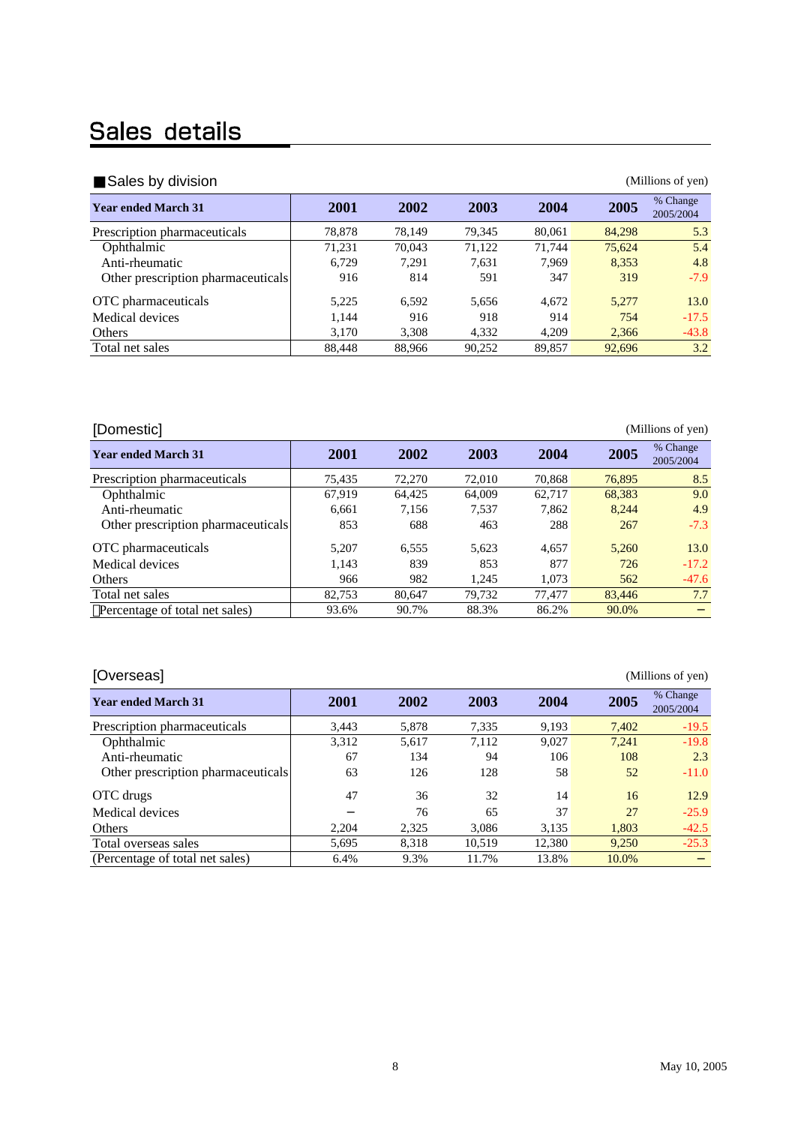## Sales details

| Sales by division                  |        |        |        |        |        | (Millions of yen)     |
|------------------------------------|--------|--------|--------|--------|--------|-----------------------|
| <b>Year ended March 31</b>         | 2001   | 2002   | 2003   | 2004   | 2005   | % Change<br>2005/2004 |
| Prescription pharmaceuticals       | 78.878 | 78.149 | 79.345 | 80,061 | 84,298 | 5.3                   |
| Ophthalmic                         | 71,231 | 70,043 | 71,122 | 71.744 | 75.624 | 5.4                   |
| Anti-rheumatic                     | 6.729  | 7.291  | 7,631  | 7.969  | 8,353  | 4.8                   |
| Other prescription pharmaceuticals | 916    | 814    | 591    | 347    | 319    | $-7.9$                |
| OTC pharmaceuticals                | 5,225  | 6.592  | 5.656  | 4.672  | 5.277  | 13.0                  |
| Medical devices                    | 1,144  | 916    | 918    | 914    | 754    | $-17.5$               |
| Others                             | 3.170  | 3,308  | 4.332  | 4,209  | 2.366  | $-43.8$               |
| Total net sales                    | 88.448 | 88.966 | 90,252 | 89.857 | 92,696 | 3.2                   |

| [Domestic]                         |        |        |        |        |        | (Millions of yen)     |
|------------------------------------|--------|--------|--------|--------|--------|-----------------------|
| <b>Year ended March 31</b>         | 2001   | 2002   | 2003   | 2004   | 2005   | % Change<br>2005/2004 |
| Prescription pharmaceuticals       | 75.435 | 72,270 | 72,010 | 70,868 | 76,895 | 8.5                   |
| Ophthalmic                         | 67,919 | 64.425 | 64,009 | 62.717 | 68,383 | 9.0                   |
| Anti-rheumatic                     | 6.661  | 7.156  | 7.537  | 7.862  | 8.244  | 4.9                   |
| Other prescription pharmaceuticals | 853    | 688    | 463    | 288    | 267    | $-7.3$                |
| OTC pharmaceuticals                | 5.207  | 6.555  | 5.623  | 4.657  | 5.260  | 13.0                  |
| Medical devices                    | 1.143  | 839    | 853    | 877    | 726    | $-17.2$               |
| Others                             | 966    | 982    | 1.245  | 1.073  | 562    | $-47.6$               |
| Total net sales                    | 82.753 | 80.647 | 79.732 | 77.477 | 83,446 | 7.7                   |
| Percentage of total net sales)     | 93.6%  | 90.7%  | 88.3%  | 86.2%  | 90.0%  |                       |

| <b>Year ended March 31</b>         | 2001  | 2002  | 2003   | 2004   | 2005  | % Change<br>2005/2004 |
|------------------------------------|-------|-------|--------|--------|-------|-----------------------|
| Prescription pharmaceuticals       | 3.443 | 5,878 | 7,335  | 9,193  | 7,402 | $-19.5$               |
| Ophthalmic                         | 3,312 | 5,617 | 7,112  | 9.027  | 7.241 | $-19.8$               |
| Anti-rheumatic                     | 67    | 134   | 94     | 106    | 108   | 2.3                   |
| Other prescription pharmaceuticals | 63    | 126   | 128    | 58     | 52    | $-11.0$               |
| OTC drugs                          | 47    | 36    | 32     | 14     | 16    | 12.9                  |
| Medical devices                    |       | 76    | 65     | 37     | 27    | $-25.9$               |
| Others                             | 2.204 | 2,325 | 3,086  | 3,135  | 1,803 | $-42.5$               |
| Total overseas sales               | 5.695 | 8.318 | 10.519 | 12.380 | 9.250 | $-25.3$               |
| (Percentage of total net sales)    | 6.4%  | 9.3%  | 11.7%  | 13.8%  | 10.0% |                       |

#### [Overseas] (Millions of yen)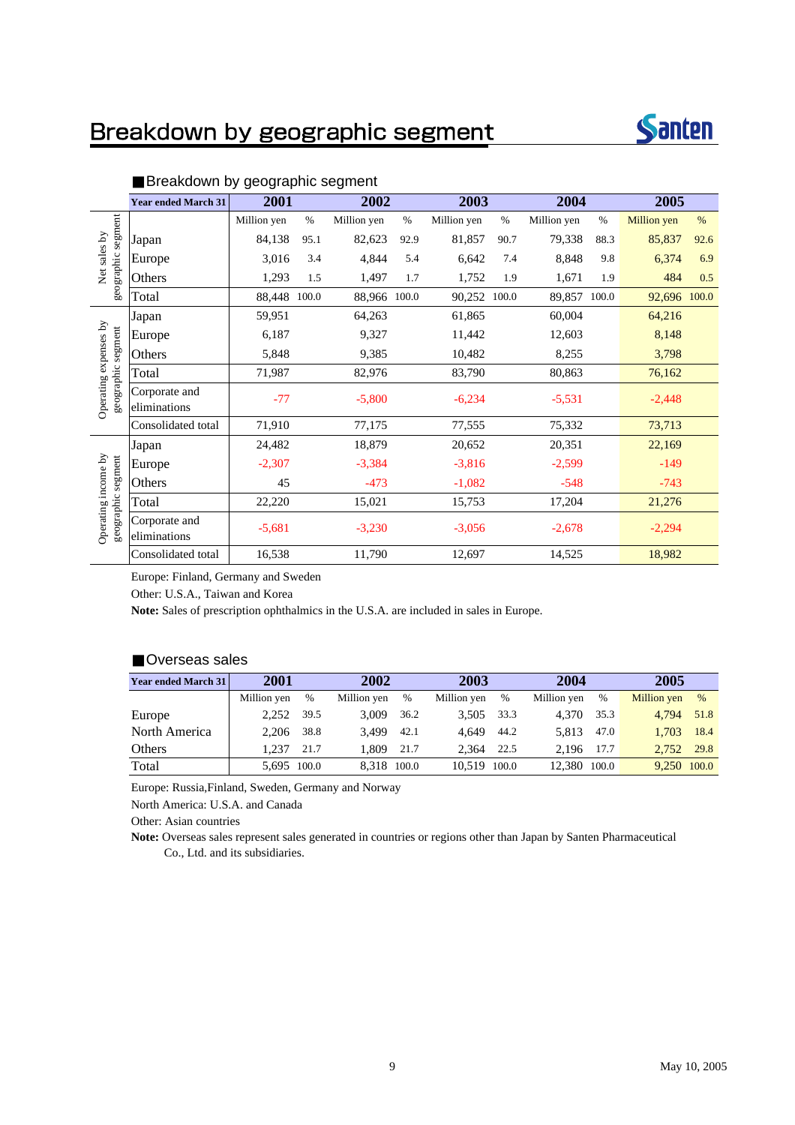### Breakdown by geographic segment



|                                             | <b>Year ended March 31</b>    | 2001        |       | 2002         |      | 2003        |       | 2004        |       | 2005         |      |
|---------------------------------------------|-------------------------------|-------------|-------|--------------|------|-------------|-------|-------------|-------|--------------|------|
|                                             |                               | Million yen | $\%$  | Million yen  | $\%$ | Million yen | $\%$  | Million yen | $\%$  | Million yen  | %    |
|                                             | Japan                         | 84,138      | 95.1  | 82,623       | 92.9 | 81,857      | 90.7  | 79,338      | 88.3  | 85,837       | 92.6 |
| Net sales by                                | Europe                        | 3,016       | 3.4   | 4,844        | 5.4  | 6,642       | 7.4   | 8,848       | 9.8   | 6,374        | 6.9  |
| geographic segment                          | Others                        | 1,293       | 1.5   | 1,497        | 1.7  | 1,752       | 1.9   | 1,671       | 1.9   | 484          | 0.5  |
|                                             | Total                         | 88,448      | 100.0 | 88,966 100.0 |      | 90,252      | 100.0 | 89,857      | 100.0 | 92,696 100.0 |      |
|                                             | Japan                         | 59,951      |       | 64,263       |      | 61,865      |       | 60,004      |       | 64,216       |      |
|                                             | Europe                        | 6,187       |       | 9,327        |      | 11,442      |       | 12,603      |       | 8,148        |      |
|                                             | Others                        | 5,848       |       | 9,385        |      | 10,482      |       | 8,255       |       | 3,798        |      |
|                                             | Total                         | 71,987      |       | 82,976       |      | 83,790      |       | 80,863      |       | 76,162       |      |
| Operating expenses by<br>geographic segment | Corporate and<br>eliminations | $-77$       |       | $-5,800$     |      | $-6,234$    |       | $-5,531$    |       | $-2,448$     |      |
|                                             | Consolidated total            | 71,910      |       | 77,175       |      | 77,555      |       | 75,332      |       | 73,713       |      |
|                                             | Japan                         | 24,482      |       | 18,879       |      | 20,652      |       | 20,351      |       | 22,169       |      |
|                                             | Europe                        | $-2,307$    |       | $-3,384$     |      | $-3,816$    |       | $-2,599$    |       | $-149$       |      |
|                                             | Others                        | 45          |       | $-473$       |      | $-1,082$    |       | $-548$      |       | $-743$       |      |
|                                             | Total                         | 22,220      |       | 15,021       |      | 15,753      |       | 17,204      |       | 21,276       |      |
| Operating income by<br>geographic segment   | Corporate and<br>eliminations | $-5,681$    |       | $-3,230$     |      | $-3,056$    |       | $-2,678$    |       | $-2,294$     |      |
|                                             | Consolidated total            | 16,538      |       | 11,790       |      | 12,697      |       | 14,525      |       | 18,982       |      |

#### Breakdown by geographic segment

Europe: Finland, Germany and Sweden

Other: U.S.A., Taiwan and Korea

**Note:** Sales of prescription ophthalmics in the U.S.A. are included in sales in Europe.

#### Overseas sales

| <b>Year ended March 31</b> | 2001        |      |             | 2002<br>2003 |             |       | 2004         | 2005 |             |      |
|----------------------------|-------------|------|-------------|--------------|-------------|-------|--------------|------|-------------|------|
|                            | Million yen | $\%$ | Million yen | %            | Million yen | %     | Million yen  | $\%$ | Million yen | $\%$ |
| Europe                     | 2.252       | 39.5 | 3.009       | 36.2         | 3.505       | 33.3  | 4.370        | 35.3 | 4.794       | 51.8 |
| North America              | 2.206       | 38.8 | 3.499       | 42.1         | 4.649       | 44.2  | 5.813        | 47.0 | 1.703       | 18.4 |
| Others                     | 1.237       | 21.7 | 1.809       | 21.7         | 2.364       | 22.5  | 2.196        | 17.7 | 2,752 29.8  |      |
| Total                      | 5.695 100.0 |      | 8.318 100.0 |              | 10.519      | 100.0 | 12,380 100.0 |      | 9.250 100.0 |      |

Europe: Russia,Finland, Sweden, Germany and Norway

North America: U.S.A. and Canada

Other: Asian countries

**Note:** Overseas sales represent sales generated in countries or regions other than Japan by Santen Pharmaceutical Co., Ltd. and its subsidiaries.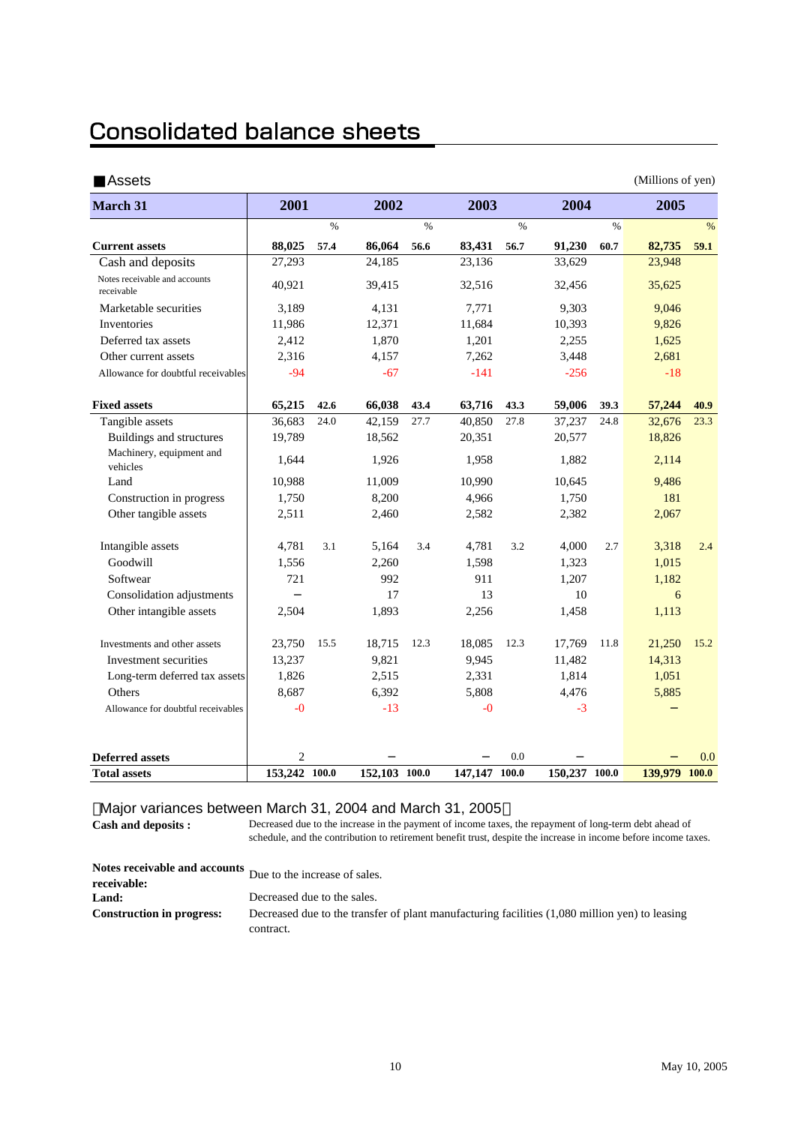### **Consolidated balance sheets**

| Assets                                      |                |               |               |      |               |               |               |               | (Millions of yen) |      |
|---------------------------------------------|----------------|---------------|---------------|------|---------------|---------------|---------------|---------------|-------------------|------|
| <b>March 31</b>                             | 2001           |               | 2002          |      | 2003          |               | 2004          |               | 2005              |      |
|                                             |                | $\frac{0}{0}$ |               | $\%$ |               | $\frac{0}{0}$ |               | $\frac{9}{6}$ |                   | $\%$ |
| <b>Current assets</b>                       | 88,025         | 57.4          | 86,064        | 56.6 | 83,431        | 56.7          | 91,230        | 60.7          | 82,735            | 59.1 |
| Cash and deposits                           | 27,293         |               | 24,185        |      | 23,136        |               | 33,629        |               | 23,948            |      |
| Notes receivable and accounts<br>receivable | 40,921         |               | 39,415        |      | 32,516        |               | 32,456        |               | 35,625            |      |
| Marketable securities                       | 3,189          |               | 4,131         |      | 7,771         |               | 9,303         |               | 9,046             |      |
| Inventories                                 | 11,986         |               | 12,371        |      | 11,684        |               | 10,393        |               | 9,826             |      |
| Deferred tax assets                         | 2,412          |               | 1,870         |      | 1,201         |               | 2,255         |               | 1,625             |      |
| Other current assets                        | 2,316          |               | 4,157         |      | 7,262         |               | 3,448         |               | 2,681             |      |
| Allowance for doubtful receivables          | $-94$          |               | $-67$         |      | $-141$        |               | $-256$        |               | $-18$             |      |
| <b>Fixed assets</b>                         | 65,215         | 42.6          | 66,038        | 43.4 | 63,716        | 43.3          | 59,006        | 39.3          | 57,244            | 40.9 |
| Tangible assets                             | 36,683         | 24.0          | 42,159        | 27.7 | 40,850        | 27.8          | 37,237        | 24.8          | 32,676            | 23.3 |
| Buildings and structures                    | 19,789         |               | 18,562        |      | 20,351        |               | 20,577        |               | 18,826            |      |
| Machinery, equipment and<br>vehicles        | 1,644          |               | 1,926         |      | 1,958         |               | 1,882         |               | 2,114             |      |
| Land                                        | 10,988         |               | 11,009        |      | 10,990        |               | 10,645        |               | 9,486             |      |
| Construction in progress                    | 1,750          |               | 8,200         |      | 4,966         |               | 1,750         |               | 181               |      |
| Other tangible assets                       | 2,511          |               | 2,460         |      | 2,582         |               | 2,382         |               | 2,067             |      |
| Intangible assets                           | 4,781          | 3.1           | 5,164         | 3.4  | 4,781         | 3.2           | 4,000         | 2.7           | 3,318             | 2.4  |
| Goodwill                                    | 1,556          |               | 2,260         |      | 1,598         |               | 1,323         |               | 1,015             |      |
| Softwear                                    | 721            |               | 992           |      | 911           |               | 1,207         |               | 1,182             |      |
| Consolidation adjustments                   |                |               | 17            |      | 13            |               | 10            |               | 6                 |      |
| Other intangible assets                     | 2,504          |               | 1,893         |      | 2,256         |               | 1,458         |               | 1,113             |      |
| Investments and other assets                | 23.750         | 15.5          | 18,715        | 12.3 | 18.085        | 12.3          | 17,769        | 11.8          | 21,250            | 15.2 |
| Investment securities                       | 13,237         |               | 9,821         |      | 9,945         |               | 11,482        |               | 14,313            |      |
| Long-term deferred tax assets               | 1,826          |               | 2,515         |      | 2,331         |               | 1,814         |               | 1,051             |      |
| Others                                      | 8,687          |               | 6.392         |      | 5,808         |               | 4.476         |               | 5,885             |      |
| Allowance for doubtful receivables          | $-0$           |               | $-13$         |      | $-0$          |               | $-3$          |               |                   |      |
|                                             |                |               |               |      |               |               |               |               |                   |      |
| <b>Deferred assets</b>                      | $\overline{2}$ |               |               |      |               | 0.0           |               |               |                   | 0.0  |
| <b>Total assets</b>                         | 153,242 100.0  |               | 152,103 100.0 |      | 147,147 100.0 |               | 150,237 100.0 |               | 139,979 100.0     |      |

#### Major variances between March 31, 2004 and March 31, 2005

**Cash and deposits :**

Decreased due to the increase in the payment of income taxes, the repayment of long-term debt ahead of schedule, and the contribution to retirement benefit trust, despite the increase in income before income taxes.

|                                  | Notes receivable and accounts Due to the increase of sales.                                    |
|----------------------------------|------------------------------------------------------------------------------------------------|
| receivable:                      |                                                                                                |
| Land:                            | Decreased due to the sales.                                                                    |
| <b>Construction in progress:</b> | Decreased due to the transfer of plant manufacturing facilities (1,080 million yen) to leasing |
|                                  | contract.                                                                                      |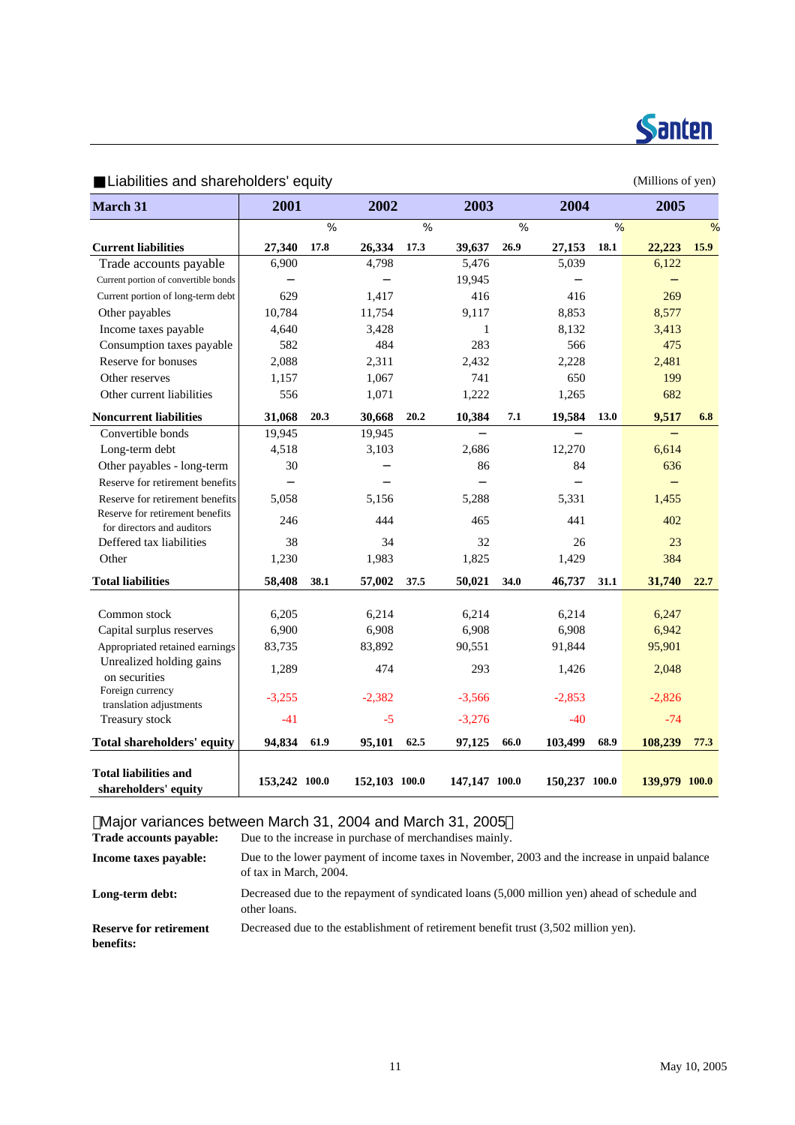

(Millions of yen)

| <b>March 31</b>                                               | 2001          |      | 2002          |      | 2003          |      | 2004          |      | 2005          |      |
|---------------------------------------------------------------|---------------|------|---------------|------|---------------|------|---------------|------|---------------|------|
|                                                               |               | %    |               | %    |               | $\%$ |               | %    |               | $\%$ |
| <b>Current liabilities</b>                                    | 27,340        | 17.8 | 26,334        | 17.3 | 39,637        | 26.9 | 27,153        | 18.1 | 22,223        | 15.9 |
| Trade accounts payable                                        | 6,900         |      | 4,798         |      | 5,476         |      | 5,039         |      | 6,122         |      |
| Current portion of convertible bonds                          |               |      |               |      | 19,945        |      |               |      |               |      |
| Current portion of long-term debt                             | 629           |      | 1,417         |      | 416           |      | 416           |      | 269           |      |
| Other payables                                                | 10,784        |      | 11,754        |      | 9,117         |      | 8,853         |      | 8,577         |      |
| Income taxes payable                                          | 4,640         |      | 3,428         |      | $\mathbf{1}$  |      | 8,132         |      | 3,413         |      |
| Consumption taxes payable                                     | 582           |      | 484           |      | 283           |      | 566           |      | 475           |      |
| Reserve for bonuses                                           | 2,088         |      | 2,311         |      | 2,432         |      | 2,228         |      | 2,481         |      |
| Other reserves                                                | 1,157         |      | 1,067         |      | 741           |      | 650           |      | 199           |      |
| Other current liabilities                                     | 556           |      | 1,071         |      | 1,222         |      | 1,265         |      | 682           |      |
| <b>Noncurrent liabilities</b>                                 | 31,068        | 20.3 | 30,668        | 20.2 | 10,384        | 7.1  | 19,584        | 13.0 | 9,517         | 6.8  |
| Convertible bonds                                             | 19,945        |      | 19,945        |      |               |      |               |      |               |      |
| Long-term debt                                                | 4,518         |      | 3,103         |      | 2,686         |      | 12,270        |      | 6,614         |      |
| Other payables - long-term                                    | 30            |      |               |      | 86            |      | 84            |      | 636           |      |
| Reserve for retirement benefits                               |               |      |               |      |               |      |               |      |               |      |
| Reserve for retirement benefits                               | 5,058         |      | 5,156         |      | 5,288         |      | 5,331         |      | 1,455         |      |
| Reserve for retirement benefits<br>for directors and auditors | 246           |      | 444           |      | 465           |      | 441           |      | 402           |      |
| Deffered tax liabilities                                      | 38            |      | 34            |      | 32            |      | 26            |      | 23            |      |
| Other                                                         | 1,230         |      | 1,983         |      | 1,825         |      | 1,429         |      | 384           |      |
| <b>Total liabilities</b>                                      | 58,408        | 38.1 | 57,002        | 37.5 | 50,021        | 34.0 | 46,737        | 31.1 | 31,740        | 22.7 |
|                                                               |               |      |               |      |               |      |               |      |               |      |
| Common stock                                                  | 6,205         |      | 6,214         |      | 6,214         |      | 6,214         |      | 6,247         |      |
| Capital surplus reserves                                      | 6,900         |      | 6,908         |      | 6,908         |      | 6,908         |      | 6,942         |      |
| Appropriated retained earnings                                | 83,735        |      | 83,892        |      | 90,551        |      | 91,844        |      | 95,901        |      |
| Unrealized holding gains<br>on securities                     | 1,289         |      | 474           |      | 293           |      | 1,426         |      | 2,048         |      |
| Foreign currency<br>translation adjustments                   | $-3,255$      |      | $-2,382$      |      | $-3,566$      |      | $-2,853$      |      | $-2,826$      |      |
| Treasury stock                                                | $-41$         |      | $-5$          |      | $-3,276$      |      | $-40$         |      | $-74$         |      |
| <b>Total shareholders' equity</b>                             | 94,834        | 61.9 | 95,101        | 62.5 | 97,125        | 66.0 | 103,499       | 68.9 | 108,239       | 77.3 |
| <b>Total liabilities and</b><br>shareholders' equity          | 153,242 100.0 |      | 152,103 100.0 |      | 147,147 100.0 |      | 150,237 100.0 |      | 139,979 100.0 |      |

Major variances between March 31, 2004 and March 31, 2005

**Trade accounts payable:** Due to the increase in purchase of merchandises mainly.

| Income taxes payable:                      | Due to the lower payment of income taxes in November, 2003 and the increase in unpaid balance<br>of tax in March, 2004. |
|--------------------------------------------|-------------------------------------------------------------------------------------------------------------------------|
| Long-term debt:                            | Decreased due to the repayment of syndicated loans (5,000 million yen) ahead of schedule and<br>other loans.            |
| <b>Reserve for retirement</b><br>benefits: | Decreased due to the establishment of retirement benefit trust (3,502 million yen).                                     |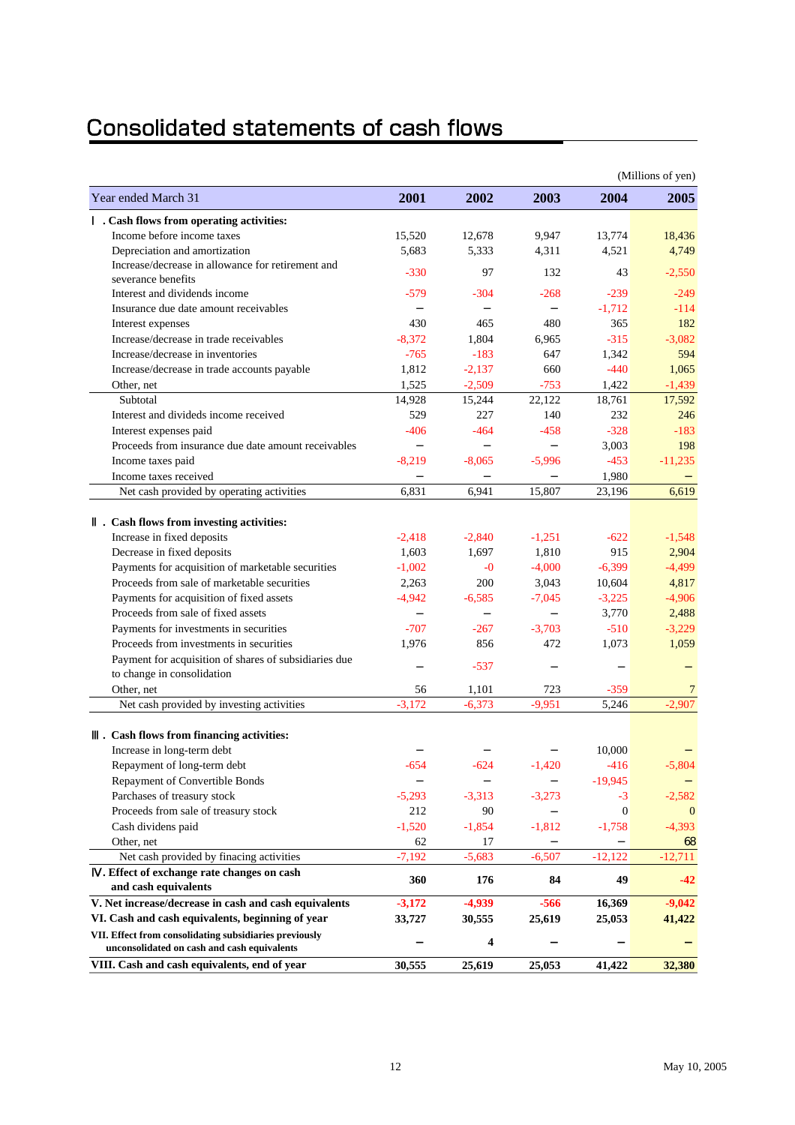### Consolidated statements of cash flows

|                                                        |          |                         |          |                | (Millions of yen) |
|--------------------------------------------------------|----------|-------------------------|----------|----------------|-------------------|
| Year ended March 31                                    | 2001     | 2002                    | 2003     | 2004           | 2005              |
| . Cash flows from operating activities:                |          |                         |          |                |                   |
| Income before income taxes                             | 15,520   | 12,678                  | 9,947    | 13,774         | 18,436            |
| Depreciation and amortization                          | 5,683    | 5,333                   | 4,311    | 4,521          | 4,749             |
| Increase/decrease in allowance for retirement and      | $-330$   | 97                      | 132      | 43             | $-2,550$          |
| severance benefits                                     |          |                         |          |                |                   |
| Interest and dividends income                          | $-579$   | $-304$                  | $-268$   | $-239$         | $-249$            |
| Insurance due date amount receivables                  |          |                         |          | $-1,712$       | $-114$            |
| Interest expenses                                      | 430      | 465                     | 480      | 365            | 182               |
| Increase/decrease in trade receivables                 | $-8.372$ | 1,804                   | 6,965    | $-315$         | $-3,082$          |
| Increase/decrease in inventories                       | $-765$   | $-183$                  | 647      | 1,342          | 594               |
| Increase/decrease in trade accounts payable            | 1,812    | $-2,137$                | 660      | $-440$         | 1,065             |
| Other, net                                             | 1,525    | $-2,509$                | $-753$   | 1,422          | $-1,439$          |
| Subtotal                                               | 14,928   | 15,244                  | 22,122   | 18,761         | 17,592            |
| Interest and divideds income received                  | 529      | 227                     | 140      | 232            | 246               |
| Interest expenses paid                                 | $-406$   | $-464$                  | $-458$   | $-328$         | $-183$            |
| Proceeds from insurance due date amount receivables    |          |                         |          | 3,003          | 198               |
| Income taxes paid                                      | $-8,219$ | $-8,065$                | $-5,996$ | $-453$         | $-11,235$         |
| Income taxes received                                  |          |                         |          | 1,980          |                   |
| Net cash provided by operating activities              | 6,831    | 6,941                   | 15,807   | 23,196         | 6,619             |
| . Cash flows from investing activities:                |          |                         |          |                |                   |
| Increase in fixed deposits                             | $-2,418$ | $-2,840$                | $-1,251$ | $-622$         | $-1,548$          |
| Decrease in fixed deposits                             | 1,603    | 1,697                   | 1,810    | 915            | 2,904             |
| Payments for acquisition of marketable securities      | $-1,002$ | $-0$                    | $-4,000$ | $-6,399$       | $-4,499$          |
| Proceeds from sale of marketable securities            | 2,263    | 200                     | 3,043    | 10,604         | 4,817             |
| Payments for acquisition of fixed assets               | $-4,942$ | $-6,585$                | $-7,045$ | $-3,225$       | $-4,906$          |
| Proceeds from sale of fixed assets                     |          |                         |          | 3,770          | 2,488             |
| Payments for investments in securities                 | $-707$   | $-267$                  | $-3,703$ | $-510$         | $-3,229$          |
| Proceeds from investments in securities                | 1,976    | 856                     | 472      | 1,073          | 1,059             |
| Payment for acquisition of shares of subsidiaries due  |          |                         |          |                |                   |
| to change in consolidation                             |          | $-537$                  |          |                |                   |
| Other, net                                             | 56       | 1,101                   | 723      | $-359$         | 7                 |
| Net cash provided by investing activities              | $-3,172$ | $-6,373$                | $-9,951$ | 5,246          | $-2,907$          |
|                                                        |          |                         |          |                |                   |
| . Cash flows from financing activities:                |          |                         |          |                |                   |
| Increase in long-term debt                             |          |                         |          | 10.000         |                   |
| Repayment of long-term debt                            | $-654$   | $-624$                  | $-1,420$ | $-416$         | $-5,804$          |
| Repayment of Convertible Bonds                         |          |                         |          | $-19,945$      |                   |
| Parchases of treasury stock                            | $-5,293$ | $-3,313$                | $-3,273$ | $-3$           | $-2,582$          |
| Proceeds from sale of treasury stock                   | 212      | 90                      |          | $\overline{0}$ | $\mathbf{0}$      |
| Cash dividens paid                                     | $-1,520$ | $-1,854$                | $-1,812$ | $-1,758$       | $-4,393$          |
| Other, net                                             | 62       | 17                      |          |                | 68                |
| Net cash provided by finacing activities               | $-7,192$ | $-5,683$                | $-6,507$ | $-12,122$      | $-12,711$         |
| . Effect of exchange rate changes on cash              | 360      | 176                     | 84       | 49             | $-42$             |
| and cash equivalents                                   |          |                         |          |                |                   |
| V. Net increase/decrease in cash and cash equivalents  | $-3,172$ | $-4,939$                | $-566$   | 16,369         | $-9,042$          |
| VI. Cash and cash equivalents, beginning of year       | 33,727   | 30,555                  | 25,619   | 25,053         | 41,422            |
| VII. Effect from consolidating subsidiaries previously |          | $\overline{\mathbf{4}}$ |          |                |                   |
| unconsolidated on cash and cash equivalents            |          |                         |          |                |                   |
| VIII. Cash and cash equivalents, end of year           | 30,555   | 25,619                  | 25,053   | 41,422         | 32,380            |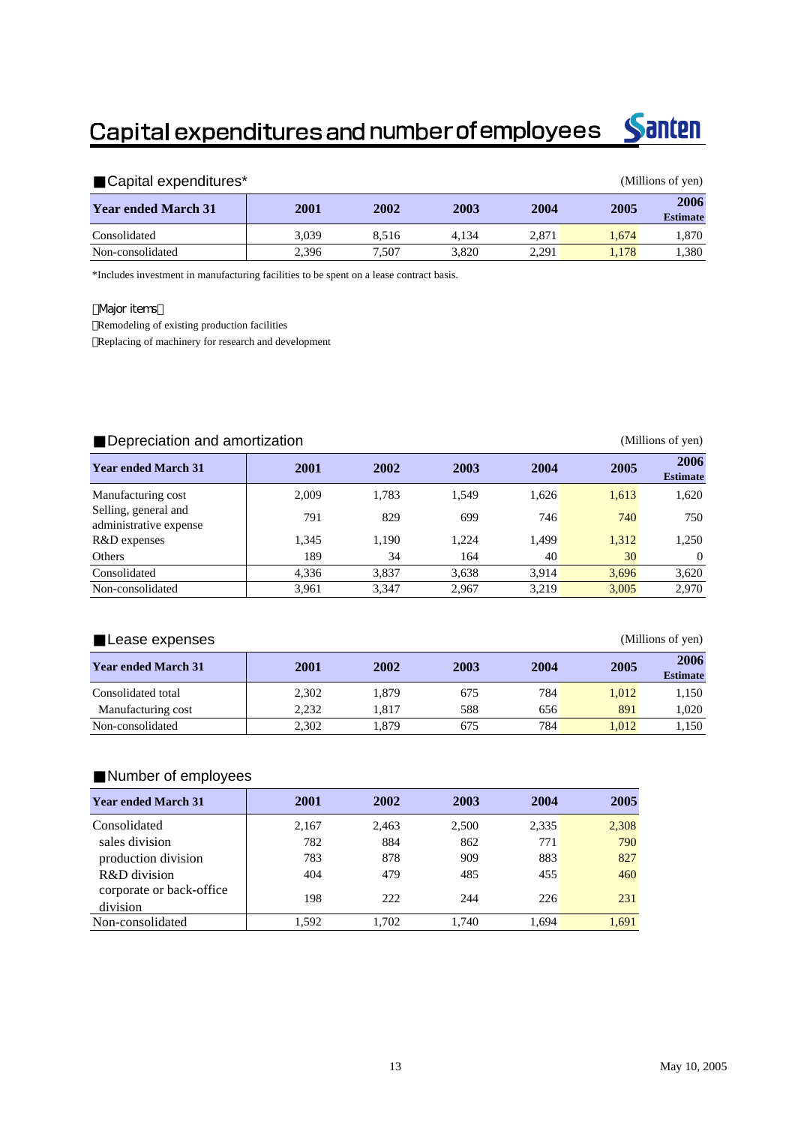## Capital expenditures and number of employees



| Capital expenditures*<br>(Millions of yen) |       |       |       |       |       |                         |  |
|--------------------------------------------|-------|-------|-------|-------|-------|-------------------------|--|
| <b>Year ended March 31</b>                 | 2001  | 2002  | 2003  | 2004  | 2005  | 2006<br><b>Estimate</b> |  |
| Consolidated                               | 3.039 | 8.516 | 4.134 | 2.871 | 1.674 | 1.870                   |  |
| Non-consolidated                           | 2.396 | 7.507 | 3.820 | 2.291 | 1.178 | 1.380                   |  |

\*Includes investment in manufacturing facilities to be spent on a lease contract basis.

#### **Major items**

Remodeling of existing production facilities Replacing of machinery for research and development

| Depreciation and amortization<br>(Millions of yen) |       |       |       |       |       |                         |  |  |
|----------------------------------------------------|-------|-------|-------|-------|-------|-------------------------|--|--|
| <b>Year ended March 31</b>                         | 2001  | 2002  | 2003  | 2004  | 2005  | 2006<br><b>Estimate</b> |  |  |
| Manufacturing cost                                 | 2.009 | 1,783 | 1.549 | 1,626 | 1,613 | 1,620                   |  |  |
| Selling, general and<br>administrative expense     | 791   | 829   | 699   | 746   | 740   | 750                     |  |  |
| R&D expenses                                       | 1,345 | 1,190 | 1.224 | 1,499 | 1,312 | 1,250                   |  |  |
| Others                                             | 189   | 34    | 164   | 40    | 30    | $\Omega$                |  |  |
| Consolidated                                       | 4,336 | 3,837 | 3,638 | 3.914 | 3.696 | 3,620                   |  |  |
| Non-consolidated                                   | 3,961 | 3.347 | 2.967 | 3.219 | 3.005 | 2.970                   |  |  |

| (Millions of yen)<br>Lease expenses |       |       |      |      |       |                         |  |  |
|-------------------------------------|-------|-------|------|------|-------|-------------------------|--|--|
| <b>Year ended March 31</b>          | 2001  | 2002  | 2003 | 2004 | 2005  | 2006<br><b>Estimate</b> |  |  |
| Consolidated total                  | 2.302 | 1.879 | 675  | 784  | 1.012 | 1,150                   |  |  |
| Manufacturing cost                  | 2.232 | 1.817 | 588  | 656  | 891   | 1.020                   |  |  |
| Non-consolidated                    | 2,302 | 1.879 | 675  | 784  | 1.012 | 1,150                   |  |  |

#### Number of employees

| <b>Year ended March 31</b> | 2001  | 2002  | 2003  | 2004  | 2005  |  |
|----------------------------|-------|-------|-------|-------|-------|--|
| Consolidated               | 2,167 | 2,463 | 2,500 | 2,335 | 2,308 |  |
| sales division             | 782   | 884   | 862   | 771   | 790   |  |
| production division        | 783   | 878   | 909   | 883   | 827   |  |
| R&D division               | 404   | 479   | 485   | 455   | 460   |  |
| corporate or back-office   | 198   | 222.  | 244   | 226   | 231   |  |
| division                   |       |       |       |       |       |  |
| Non-consolidated           | 1.592 | 1.702 | 1.740 | 1.694 | 1.691 |  |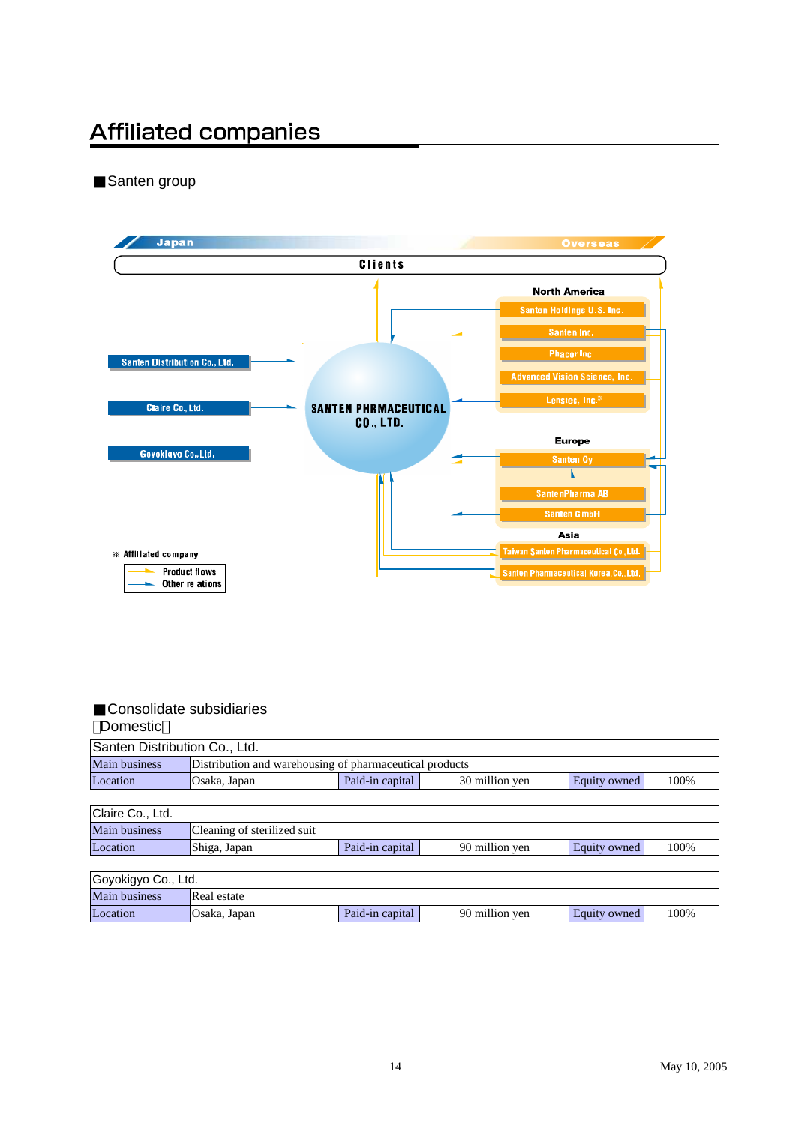## **Affiliated companies**

Santen group



#### Consolidate subsidiaries Domestic

| <b>Bunda</b>                  |                                                         |                 |                |              |      |  |  |  |  |
|-------------------------------|---------------------------------------------------------|-----------------|----------------|--------------|------|--|--|--|--|
| Santen Distribution Co., Ltd. |                                                         |                 |                |              |      |  |  |  |  |
| <b>Main business</b>          | Distribution and warehousing of pharmaceutical products |                 |                |              |      |  |  |  |  |
| Location                      | Osaka, Japan                                            | Paid-in capital | 30 million yen | Equity owned | 100% |  |  |  |  |
|                               |                                                         |                 |                |              |      |  |  |  |  |
| Claire Co., Ltd.              |                                                         |                 |                |              |      |  |  |  |  |
| Main business                 | Cleaning of sterilized suit                             |                 |                |              |      |  |  |  |  |
| Location                      | Shiga, Japan                                            | Paid-in capital | 90 million yen | Equity owned | 100% |  |  |  |  |
|                               |                                                         |                 |                |              |      |  |  |  |  |
| Goyokigyo Co., Ltd.           |                                                         |                 |                |              |      |  |  |  |  |
| Main business                 | Real estate                                             |                 |                |              |      |  |  |  |  |
| Location                      | Osaka, Japan                                            | Paid-in capital | 90 million yen | Equity owned | 100% |  |  |  |  |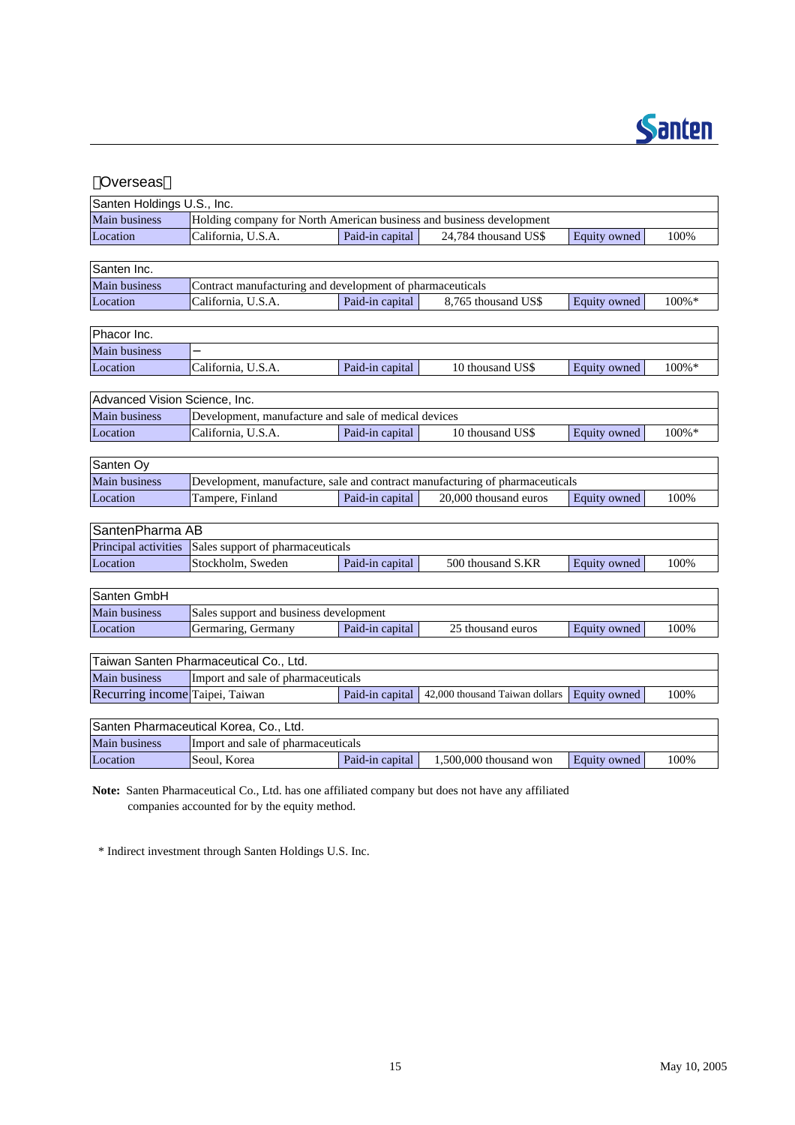

| Overseas                        |                                                                      |                                                                              |                                |                     |       |  |  |  |  |  |
|---------------------------------|----------------------------------------------------------------------|------------------------------------------------------------------------------|--------------------------------|---------------------|-------|--|--|--|--|--|
| Santen Holdings U.S., Inc.      |                                                                      |                                                                              |                                |                     |       |  |  |  |  |  |
| Main business                   | Holding company for North American business and business development |                                                                              |                                |                     |       |  |  |  |  |  |
| Location                        | California, U.S.A.                                                   | Paid-in capital                                                              | 24,784 thousand US\$           | Equity owned        | 100%  |  |  |  |  |  |
|                                 |                                                                      |                                                                              |                                |                     |       |  |  |  |  |  |
| Santen Inc.                     |                                                                      |                                                                              |                                |                     |       |  |  |  |  |  |
| <b>Main business</b>            | Contract manufacturing and development of pharmaceuticals            |                                                                              |                                |                     |       |  |  |  |  |  |
| Location                        | California, U.S.A.                                                   | Paid-in capital                                                              | 8,765 thousand US\$            | Equity owned        | 100%* |  |  |  |  |  |
|                                 |                                                                      |                                                                              |                                |                     |       |  |  |  |  |  |
| Phacor Inc.                     |                                                                      |                                                                              |                                |                     |       |  |  |  |  |  |
| <b>Main business</b>            |                                                                      |                                                                              |                                |                     |       |  |  |  |  |  |
| Location                        | California, U.S.A.                                                   | Paid-in capital                                                              | 10 thousand US\$               | Equity owned        | 100%* |  |  |  |  |  |
|                                 |                                                                      |                                                                              |                                |                     |       |  |  |  |  |  |
| Advanced Vision Science, Inc.   |                                                                      |                                                                              |                                |                     |       |  |  |  |  |  |
| <b>Main business</b>            | Development, manufacture and sale of medical devices                 |                                                                              |                                |                     |       |  |  |  |  |  |
| Location                        | California, U.S.A.                                                   | Paid-in capital                                                              | 10 thousand US\$               | Equity owned        | 100%* |  |  |  |  |  |
|                                 |                                                                      |                                                                              |                                |                     |       |  |  |  |  |  |
| Santen Oy                       |                                                                      |                                                                              |                                |                     |       |  |  |  |  |  |
| Main business                   |                                                                      | Development, manufacture, sale and contract manufacturing of pharmaceuticals |                                |                     |       |  |  |  |  |  |
| Location                        | Tampere, Finland                                                     | Paid-in capital                                                              | 20,000 thousand euros          | Equity owned        | 100%  |  |  |  |  |  |
| SantenPharma AB                 |                                                                      |                                                                              |                                |                     |       |  |  |  |  |  |
| Principal activities            | Sales support of pharmaceuticals                                     |                                                                              |                                |                     |       |  |  |  |  |  |
| Location                        | Stockholm, Sweden                                                    | Paid-in capital                                                              | 500 thousand S.KR              | Equity owned        | 100%  |  |  |  |  |  |
|                                 |                                                                      |                                                                              |                                |                     |       |  |  |  |  |  |
| Santen GmbH                     |                                                                      |                                                                              |                                |                     |       |  |  |  |  |  |
| Main business                   | Sales support and business development                               |                                                                              |                                |                     |       |  |  |  |  |  |
| Location                        | Germaring, Germany                                                   | Paid-in capital                                                              | 25 thousand euros              | Equity owned        | 100%  |  |  |  |  |  |
|                                 |                                                                      |                                                                              |                                |                     |       |  |  |  |  |  |
|                                 | Taiwan Santen Pharmaceutical Co., Ltd.                               |                                                                              |                                |                     |       |  |  |  |  |  |
| Main business                   | Import and sale of pharmaceuticals                                   |                                                                              |                                |                     |       |  |  |  |  |  |
| Recurring income Taipei, Taiwan |                                                                      | Paid-in capital                                                              | 42,000 thousand Taiwan dollars | <b>Equity owned</b> | 100%  |  |  |  |  |  |
|                                 |                                                                      |                                                                              |                                |                     |       |  |  |  |  |  |
|                                 | Santen Pharmaceutical Korea, Co., Ltd.                               |                                                                              |                                |                     |       |  |  |  |  |  |
| Main business                   | Import and sale of pharmaceuticals                                   |                                                                              |                                |                     |       |  |  |  |  |  |
| Location                        | Seoul, Korea                                                         | Paid-in capital                                                              | 1,500,000 thousand won         | Equity owned        | 100%  |  |  |  |  |  |
|                                 |                                                                      |                                                                              |                                |                     |       |  |  |  |  |  |

**Note:** Santen Pharmaceutical Co., Ltd. has one affiliated company but does not have any affiliated companies accounted for by the equity method.

\* Indirect investment through Santen Holdings U.S. Inc.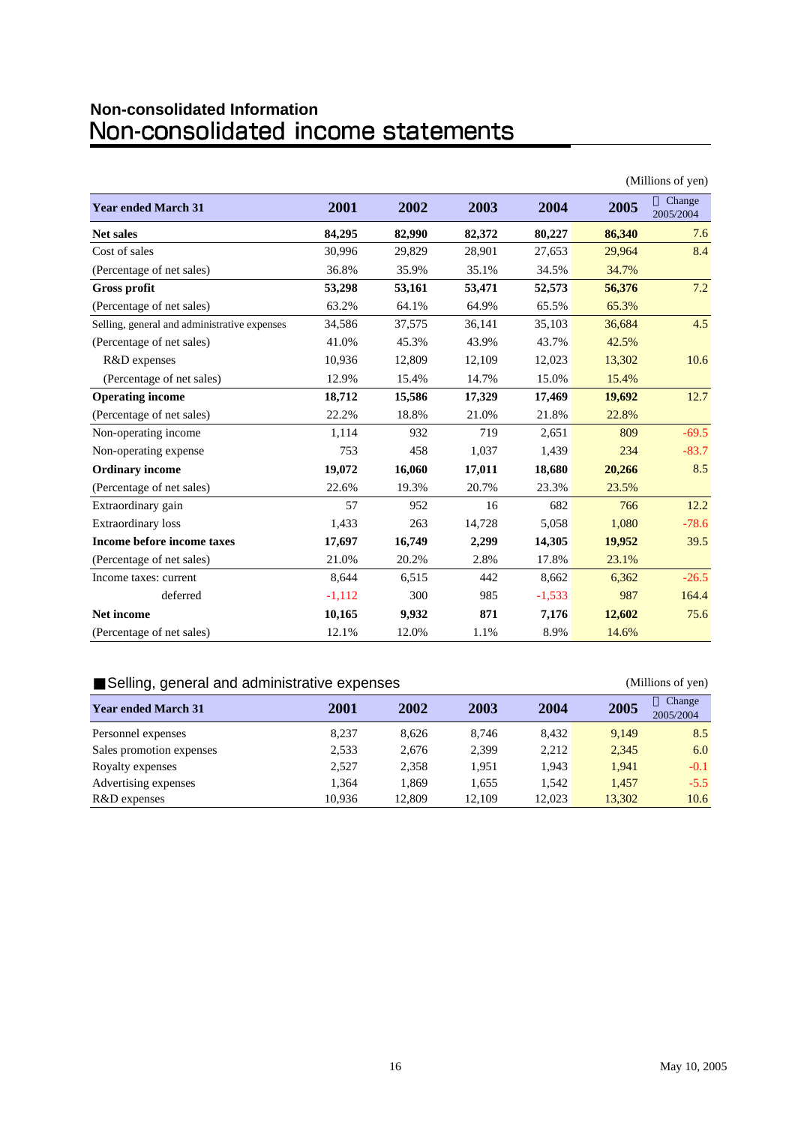# Non-consolidated Information<br>Non-consolidated income statements

| (Millions of yen)                            |          |        |        |          |        |                     |  |
|----------------------------------------------|----------|--------|--------|----------|--------|---------------------|--|
| <b>Year ended March 31</b>                   | 2001     | 2002   | 2003   | 2004     | 2005   | Change<br>2005/2004 |  |
| <b>Net sales</b>                             | 84,295   | 82,990 | 82,372 | 80,227   | 86,340 | 7.6                 |  |
| Cost of sales                                | 30,996   | 29,829 | 28,901 | 27,653   | 29,964 | 8.4                 |  |
| (Percentage of net sales)                    | 36.8%    | 35.9%  | 35.1%  | 34.5%    | 34.7%  |                     |  |
| <b>Gross profit</b>                          | 53,298   | 53,161 | 53,471 | 52,573   | 56,376 | 7.2                 |  |
| (Percentage of net sales)                    | 63.2%    | 64.1%  | 64.9%  | 65.5%    | 65.3%  |                     |  |
| Selling, general and administrative expenses | 34,586   | 37,575 | 36,141 | 35,103   | 36,684 | 4.5                 |  |
| (Percentage of net sales)                    | 41.0%    | 45.3%  | 43.9%  | 43.7%    | 42.5%  |                     |  |
| R&D expenses                                 | 10,936   | 12,809 | 12,109 | 12,023   | 13,302 | 10.6                |  |
| (Percentage of net sales)                    | 12.9%    | 15.4%  | 14.7%  | 15.0%    | 15.4%  |                     |  |
| <b>Operating income</b>                      | 18,712   | 15,586 | 17,329 | 17,469   | 19,692 | 12.7                |  |
| (Percentage of net sales)                    | 22.2%    | 18.8%  | 21.0%  | 21.8%    | 22.8%  |                     |  |
| Non-operating income                         | 1,114    | 932    | 719    | 2,651    | 809    | $-69.5$             |  |
| Non-operating expense                        | 753      | 458    | 1,037  | 1,439    | 234    | $-83.7$             |  |
| <b>Ordinary income</b>                       | 19,072   | 16,060 | 17,011 | 18,680   | 20,266 | 8.5                 |  |
| (Percentage of net sales)                    | 22.6%    | 19.3%  | 20.7%  | 23.3%    | 23.5%  |                     |  |
| Extraordinary gain                           | 57       | 952    | 16     | 682      | 766    | 12.2                |  |
| <b>Extraordinary</b> loss                    | 1,433    | 263    | 14,728 | 5,058    | 1,080  | $-78.6$             |  |
| Income before income taxes                   | 17,697   | 16,749 | 2,299  | 14,305   | 19,952 | 39.5                |  |
| (Percentage of net sales)                    | 21.0%    | 20.2%  | 2.8%   | 17.8%    | 23.1%  |                     |  |
| Income taxes: current                        | 8.644    | 6,515  | 442    | 8,662    | 6,362  | $-26.5$             |  |
| deferred                                     | $-1,112$ | 300    | 985    | $-1,533$ | 987    | 164.4               |  |
| <b>Net income</b>                            | 10,165   | 9,932  | 871    | 7,176    | 12,602 | 75.6                |  |
| (Percentage of net sales)                    | 12.1%    | 12.0%  | 1.1%   | 8.9%     | 14.6%  |                     |  |

#### Selling, general and administrative expenses (Millions of yen)

#### **Year ended March 31 2001 2002 2003 2004 2005 Change** 2005/2004 Personnel expenses 8,237 8,626 8,746 8,432 9,149 8.5 Sales promotion expenses 2,533 2,676 2,399 2,212 2,345 6.0 Royalty expenses 2,527 2,358 1,951 1,943 1,941 -0.1 Advertising expenses 1,364 1,869 1,655 1,542 1,457 -5.5 R&D expenses 10,936 12,809 12,109 12,023 13,302 10.6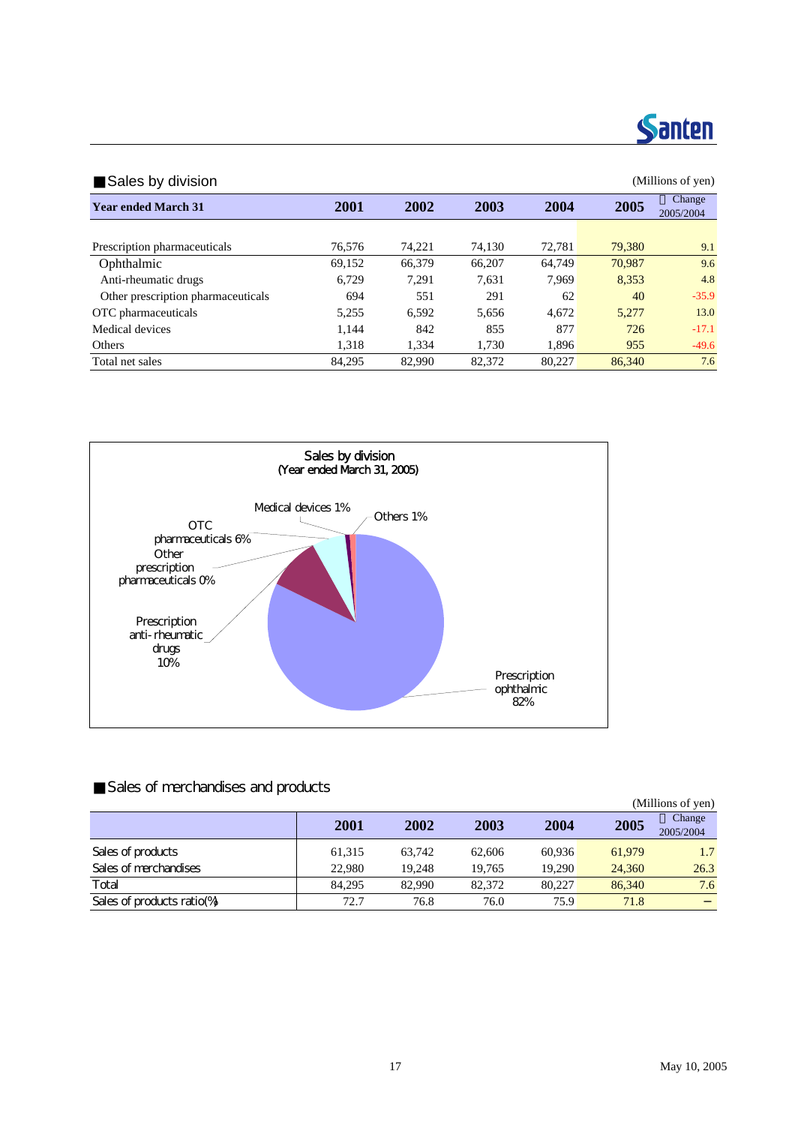

| Sales by division                  |        |             |        |        |        |                     |  |  |
|------------------------------------|--------|-------------|--------|--------|--------|---------------------|--|--|
| <b>Year ended March 31</b>         | 2001   | <b>2002</b> | 2003   | 2004   | 2005   | Change<br>2005/2004 |  |  |
|                                    |        |             |        |        |        |                     |  |  |
| Prescription pharmaceuticals       | 76.576 | 74.221      | 74.130 | 72.781 | 79,380 | 9.1                 |  |  |
| Ophthalmic                         | 69.152 | 66,379      | 66.207 | 64,749 | 70,987 | 9.6                 |  |  |
| Anti-rheumatic drugs               | 6.729  | 7.291       | 7.631  | 7.969  | 8,353  | 4.8                 |  |  |
| Other prescription pharmaceuticals | 694    | 551         | 291    | 62     | 40     | $-35.9$             |  |  |
| OTC pharmaceuticals                | 5,255  | 6,592       | 5.656  | 4.672  | 5.277  | 13.0                |  |  |
| Medical devices                    | 1,144  | 842         | 855    | 877    | 726    | $-17.1$             |  |  |
| Others                             | 1,318  | 1.334       | 1,730  | 1,896  | 955    | $-49.6$             |  |  |
| Total net sales                    | 84.295 | 82,990      | 82,372 | 80.227 | 86,340 | 7.6                 |  |  |



#### Sales of merchandises and products

|                              |        |        |        |        |        | (Millions of yen)   |
|------------------------------|--------|--------|--------|--------|--------|---------------------|
|                              | 2001   | 2002   | 2003   | 2004   | 2005   | Change<br>2005/2004 |
| Sales of products            | 61,315 | 63.742 | 62,606 | 60.936 | 61,979 | 1.7                 |
| Sales of merchandises        | 22,980 | 19.248 | 19.765 | 19.290 | 24,360 | 26.3                |
| Total                        | 84.295 | 82,990 | 82,372 | 80,227 | 86,340 | 7.6                 |
| Sales of products ratio $\%$ | 72.7   | 76.8   | 76.0   | 75.9   | 71.8   |                     |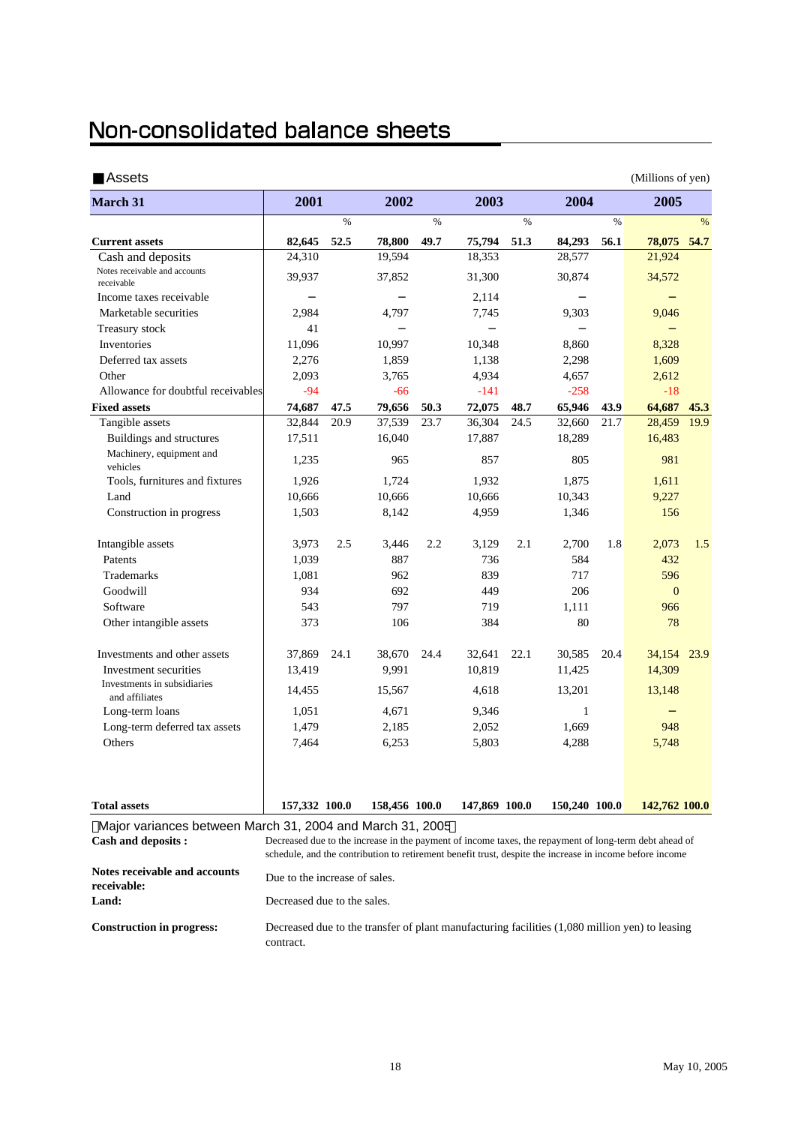### Non-consolidated balance sheets

**receivable: Land:**

|                                                           |                                                                                                                                                                                                                    |      |               |      |               |      |               |      | (Millions of yen) |      |
|-----------------------------------------------------------|--------------------------------------------------------------------------------------------------------------------------------------------------------------------------------------------------------------------|------|---------------|------|---------------|------|---------------|------|-------------------|------|
| March 31                                                  | 2001                                                                                                                                                                                                               |      | 2002          |      | 2003          |      | 2004          |      | 2005              |      |
|                                                           |                                                                                                                                                                                                                    | $\%$ |               | $\%$ |               | $\%$ |               | $\%$ |                   | %    |
| <b>Current assets</b>                                     | 82,645                                                                                                                                                                                                             | 52.5 | 78,800        | 49.7 | 75,794        | 51.3 | 84,293        | 56.1 | 78,075            | 54.7 |
| Cash and deposits                                         | 24,310                                                                                                                                                                                                             |      | 19,594        |      | 18,353        |      | 28,577        |      | 21,924            |      |
| Notes receivable and accounts<br>receivable               | 39,937                                                                                                                                                                                                             |      | 37,852        |      | 31,300        |      | 30,874        |      | 34,572            |      |
| Income taxes receivable                                   |                                                                                                                                                                                                                    |      |               |      | 2,114         |      |               |      |                   |      |
| Marketable securities                                     | 2,984                                                                                                                                                                                                              |      | 4,797         |      | 7,745         |      | 9,303         |      | 9,046             |      |
| Treasury stock                                            | 41                                                                                                                                                                                                                 |      |               |      |               |      |               |      |                   |      |
| Inventories                                               | 11,096                                                                                                                                                                                                             |      | 10,997        |      | 10,348        |      | 8,860         |      | 8,328             |      |
| Deferred tax assets                                       | 2,276                                                                                                                                                                                                              |      | 1,859         |      | 1,138         |      | 2,298         |      | 1,609             |      |
| Other                                                     | 2,093                                                                                                                                                                                                              |      | 3,765         |      | 4,934         |      | 4,657         |      | 2,612             |      |
| Allowance for doubtful receivables                        | $-94$                                                                                                                                                                                                              |      | $-66$         |      | $-141$        |      | $-258$        |      | $-18$             |      |
| <b>Fixed assets</b>                                       | 74,687                                                                                                                                                                                                             | 47.5 | 79,656        | 50.3 | 72,075        | 48.7 | 65,946        | 43.9 | 64,687            | 45.3 |
| Tangible assets                                           | 32,844                                                                                                                                                                                                             | 20.9 | 37,539        | 23.7 | 36,304        | 24.5 | 32,660        | 21.7 | 28,459            | 19.9 |
| Buildings and structures                                  | 17,511                                                                                                                                                                                                             |      | 16,040        |      | 17,887        |      | 18,289        |      | 16,483            |      |
| Machinery, equipment and<br>vehicles                      | 1,235                                                                                                                                                                                                              |      | 965           |      | 857           |      | 805           |      | 981               |      |
| Tools, furnitures and fixtures                            | 1,926                                                                                                                                                                                                              |      | 1,724         |      | 1,932         |      | 1,875         |      | 1,611             |      |
| Land                                                      | 10,666                                                                                                                                                                                                             |      | 10,666        |      | 10,666        |      | 10,343        |      | 9,227             |      |
| Construction in progress                                  | 1,503                                                                                                                                                                                                              |      | 8,142         |      | 4,959         |      | 1,346         |      | 156               |      |
| Intangible assets                                         | 3,973                                                                                                                                                                                                              | 2.5  | 3,446         | 2.2  | 3.129         | 2.1  | 2,700         | 1.8  | 2,073             | 1.5  |
| Patents                                                   | 1,039                                                                                                                                                                                                              |      | 887           |      | 736           |      | 584           |      | 432               |      |
| Trademarks                                                | 1,081                                                                                                                                                                                                              |      | 962           |      | 839           |      | 717           |      | 596               |      |
| Goodwill                                                  | 934                                                                                                                                                                                                                |      | 692           |      | 449           |      | 206           |      | $\mathbf{0}$      |      |
| Software                                                  | 543                                                                                                                                                                                                                |      | 797           |      | 719           |      | 1,111         |      | 966               |      |
| Other intangible assets                                   | 373                                                                                                                                                                                                                |      | 106           |      | 384           |      | 80            |      | 78                |      |
| Investments and other assets                              | 37,869                                                                                                                                                                                                             | 24.1 | 38,670        | 24.4 | 32,641        | 22.1 | 30,585        | 20.4 | 34,154            | 23.9 |
| Investment securities                                     | 13,419                                                                                                                                                                                                             |      | 9,991         |      | 10,819        |      | 11,425        |      | 14,309            |      |
| Investments in subsidiaries<br>and affiliates             | 14,455                                                                                                                                                                                                             |      | 15,567        |      | 4,618         |      | 13,201        |      | 13,148            |      |
| Long-term loans                                           | 1,051                                                                                                                                                                                                              |      | 4,671         |      | 9,346         |      | -1            |      |                   |      |
| Long-term deferred tax assets                             | 1,479                                                                                                                                                                                                              |      | 2,185         |      | 2,052         |      | 1,669         |      | 948               |      |
| Others                                                    | 7,464                                                                                                                                                                                                              |      | 6,253         |      | 5,803         |      | 4,288         |      | 5,748             |      |
| <b>Total assets</b>                                       | 157,332 100.0                                                                                                                                                                                                      |      | 158,456 100.0 |      | 147,869 100.0 |      | 150,240 100.0 |      | 142,762 100.0     |      |
| Major variances between March 31, 2004 and March 31, 2005 |                                                                                                                                                                                                                    |      |               |      |               |      |               |      |                   |      |
| <b>Cash and deposits:</b>                                 | Decreased due to the increase in the payment of income taxes, the repayment of long-term debt ahead of<br>schedule, and the contribution to retirement benefit trust, despite the increase in income before income |      |               |      |               |      |               |      |                   |      |
| <b>Notes receivable and accounts</b>                      | Due to the increase of sales.                                                                                                                                                                                      |      |               |      |               |      |               |      |                   |      |

**Construction in progress:** Decreased due to the transfer of plant manufacturing facilities (1,080 million yen) to leasing contract.

Decreased due to the sales.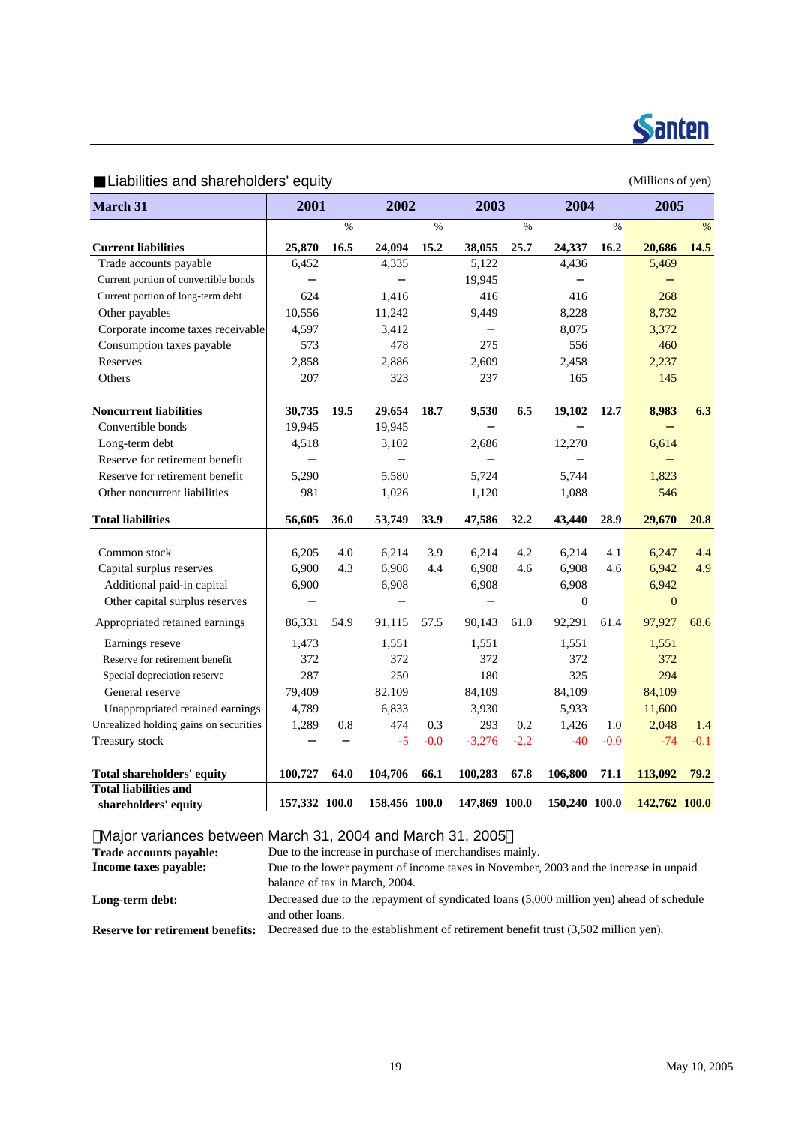

Liabilities and shareholders' equity example of the state of the Millions of yen)

| <b>March 31</b>                                        | 2001          |               | 2002          |        | 2003          |        | 2004          |        | 2005             |        |
|--------------------------------------------------------|---------------|---------------|---------------|--------|---------------|--------|---------------|--------|------------------|--------|
|                                                        |               | $\frac{0}{0}$ |               | $\%$   |               | $\%$   |               | $\%$   |                  | $\%$   |
| <b>Current liabilities</b>                             | 25,870        | 16.5          | 24,094        | 15.2   | 38,055        | 25.7   | 24,337        | 16.2   | 20,686           | 14.5   |
| Trade accounts payable                                 | 6,452         |               | 4,335         |        | 5,122         |        | 4,436         |        | 5,469            |        |
| Current portion of convertible bonds                   |               |               |               |        | 19,945        |        |               |        |                  |        |
| Current portion of long-term debt                      | 624           |               | 1,416         |        | 416           |        | 416           |        | 268              |        |
| Other payables                                         | 10,556        |               | 11,242        |        | 9,449         |        | 8,228         |        | 8,732            |        |
| Corporate income taxes receivable                      | 4,597         |               | 3,412         |        |               |        | 8,075         |        | 3,372            |        |
| Consumption taxes payable                              | 573           |               | 478           |        | 275           |        | 556           |        | 460              |        |
| Reserves                                               | 2,858         |               | 2,886         |        | 2,609         |        | 2,458         |        | 2,237            |        |
| Others                                                 | 207           |               | 323           |        | 237           |        | 165           |        | 145              |        |
| <b>Noncurrent liabilities</b>                          | 30,735        | 19.5          | 29,654        | 18.7   | 9,530         | 6.5    | 19,102        | 12.7   | 8,983            | 6.3    |
| Convertible bonds                                      | 19,945        |               | 19,945        |        |               |        |               |        |                  |        |
| Long-term debt                                         | 4,518         |               | 3,102         |        | 2,686         |        | 12,270        |        | 6,614            |        |
| Reserve for retirement benefit                         |               |               |               |        |               |        |               |        |                  |        |
| Reserve for retirement benefit                         | 5,290         |               | 5,580         |        | 5,724         |        | 5,744         |        | 1,823            |        |
| Other noncurrent liabilities                           | 981           |               | 1,026         |        | 1,120         |        | 1,088         |        | 546              |        |
| <b>Total liabilities</b>                               | 56,605        | 36.0          | 53,749        | 33.9   | 47,586        | 32.2   | 43,440        | 28.9   | 29,670           | 20.8   |
| Common stock                                           | 6,205         | 4.0           | 6,214         | 3.9    | 6,214         | 4.2    | 6,214         | 4.1    | 6,247            | 4.4    |
|                                                        | 6,900         | 4.3           | 6,908         | 4.4    | 6,908         | 4.6    | 6,908         | 4.6    | 6,942            | 4.9    |
| Capital surplus reserves<br>Additional paid-in capital | 6,900         |               | 6,908         |        | 6,908         |        | 6,908         |        | 6,942            |        |
| Other capital surplus reserves                         |               |               |               |        |               |        | $\mathbf{0}$  |        | $\boldsymbol{0}$ |        |
|                                                        |               |               |               |        |               |        |               |        |                  |        |
| Appropriated retained earnings                         | 86,331        | 54.9          | 91,115        | 57.5   | 90,143        | 61.0   | 92,291        | 61.4   | 97,927           | 68.6   |
| Earnings reseve                                        | 1,473         |               | 1,551         |        | 1,551         |        | 1,551         |        | 1,551            |        |
| Reserve for retirement benefit                         | 372           |               | 372           |        | 372           |        | 372           |        | 372              |        |
| Special depreciation reserve                           | 287           |               | 250           |        | 180           |        | 325           |        | 294              |        |
| General reserve                                        | 79,409        |               | 82,109        |        | 84,109        |        | 84,109        |        | 84,109           |        |
| Unappropriated retained earnings                       | 4,789         |               | 6,833         |        | 3,930         |        | 5,933         |        | 11,600           |        |
| Unrealized holding gains on securities                 | 1,289         | 0.8           | 474           | 0.3    | 293           | 0.2    | 1,426         | 1.0    | 2,048            | 1.4    |
| Treasury stock                                         |               |               | $-5$          | $-0.0$ | $-3,276$      | $-2.2$ | $-40$         | $-0.0$ | $-74$            | $-0.1$ |
| Total shareholders' equity                             | 100,727       | 64.0          | 104,706       | 66.1   | 100,283       | 67.8   | 106,800       | 71.1   | 113,092          | 79.2   |
| <b>Total liabilities and</b>                           |               |               |               |        |               |        |               |        |                  |        |
| shareholders' equity                                   | 157,332 100.0 |               | 158,456 100.0 |        | 147,869 100.0 |        | 150,240 100.0 |        | 142,762 100.0    |        |

Major variances between March 31, 2004 and March 31, 2005

| Trade accounts payable:                 | Due to the increase in purchase of merchandises mainly.                                                 |
|-----------------------------------------|---------------------------------------------------------------------------------------------------------|
| Income taxes payable:                   | Due to the lower payment of income taxes in November, 2003 and the increase in unpaid                   |
|                                         | balance of tax in March, 2004.                                                                          |
| Long-term debt:                         | Decreased due to the repayment of syndicated loans (5,000 million yen) ahead of schedule                |
| <b>Reserve for retirement benefits:</b> | and other loans.<br>Decreased due to the establishment of retirement benefit trust (3,502 million yen). |
|                                         |                                                                                                         |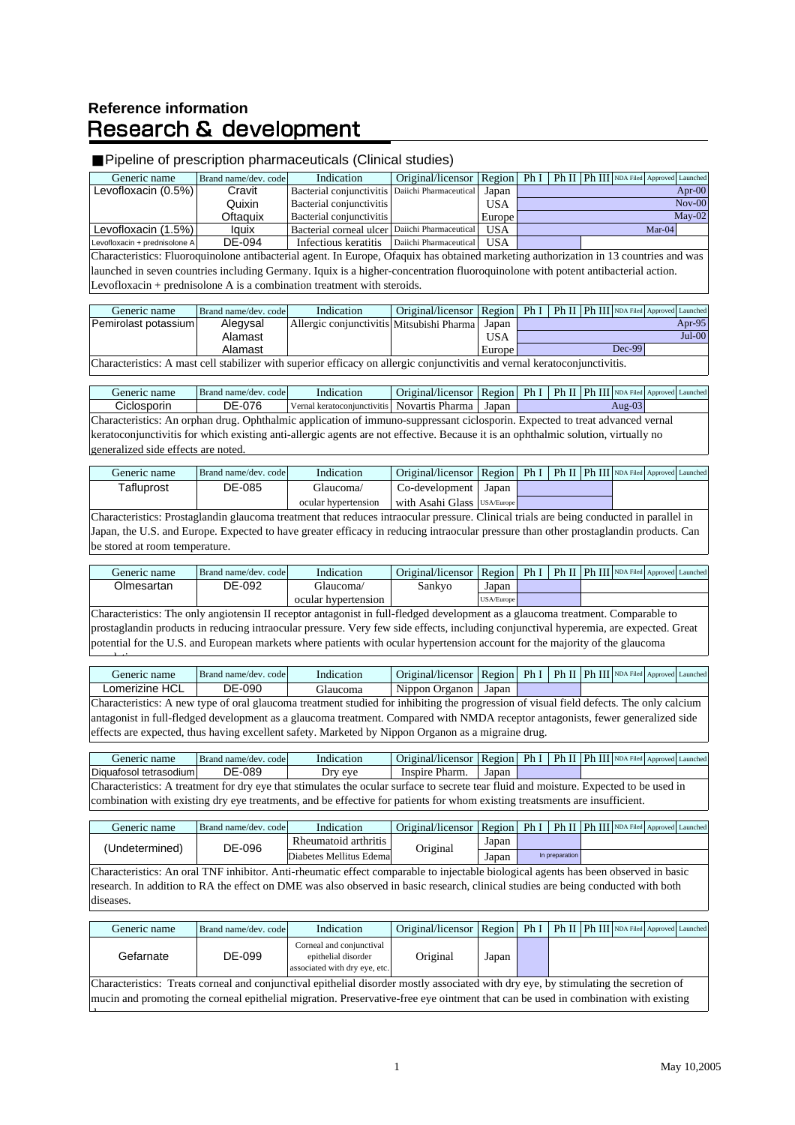### **Reference information Research & development**

<sup>d</sup>

l ti

#### Pipeline of prescription pharmaceuticals (Clinical studies)

| Generic name                  | Brand name/dev. code | Indication                                        | Original/licensor   Region   Ph I   Ph II   Ph III   NDA Filed Approved Launched |            |  |  |          |           |
|-------------------------------|----------------------|---------------------------------------------------|----------------------------------------------------------------------------------|------------|--|--|----------|-----------|
| Levofloxacin $(0.5%)$         | Cravit               | Bacterial conjunctivitis   Daiichi Pharmaceutical |                                                                                  | Japan      |  |  |          | Apr- $00$ |
|                               | Quixin               | Bacterial conjunctivitis                          |                                                                                  | <b>USA</b> |  |  |          | $Nov-00$  |
|                               | Oftaguix             | Bacterial conjunctivitis                          |                                                                                  | Europe     |  |  |          | $Mav-02$  |
| Levofloxacin (1.5%)           | lauix                | Bacterial corneal ulcer Daiichi Pharmaceutical    |                                                                                  | <b>USA</b> |  |  | $Mar-04$ |           |
| Levofloxacin + prednisolone A | DE-094               | Infectious keratitis                              | Daiichi Pharmaceutical                                                           | <b>USA</b> |  |  |          |           |

Characteristics: Fluoroquinolone antibacterial agent. In Europe, Ofaquix has obtained marketing authorization in 13 countries and was launched in seven countries including Germany. Iquix is a higher-concentration fluoroquinolone with potent antibacterial action. Levofloxacin + prednisolone A is a combination treatment with steroids.

| Generic name                                                                                                                | Brand name/dev. code | Indication                                | Original/licensor   Region   Ph I   Ph II   Ph III   NDA Filed   Approved Launched |            |  |  |  |          |          |
|-----------------------------------------------------------------------------------------------------------------------------|----------------------|-------------------------------------------|------------------------------------------------------------------------------------|------------|--|--|--|----------|----------|
| Pemirolast potassium                                                                                                        | Alegysal             | Allergic conjunctivitis Mitsubishi Pharma |                                                                                    | Japan      |  |  |  |          | Apr-95   |
|                                                                                                                             | Alamast              |                                           |                                                                                    | <b>USA</b> |  |  |  |          | $Jul-00$ |
|                                                                                                                             | Alamast              |                                           |                                                                                    | Europe     |  |  |  | $Dec-99$ |          |
| Characteristics: A most coll stobilizer with superior officeau on ellergic conjunctivities and varnel kerstoooniunctivities |                      |                                           |                                                                                    |            |  |  |  |          |          |

Characteristics: A mast cell stabilizer with superior efficacy on allergic conjunctivitis and vernal keratoconjunctivitis.

| Generic name                                                                                                                       | Brand name/dev. code | Indication                                          | Original/licensor   Region   Ph I   Ph II   Ph III   NDA Filed Approved Launched |  |  |  |  |           |  |
|------------------------------------------------------------------------------------------------------------------------------------|----------------------|-----------------------------------------------------|----------------------------------------------------------------------------------|--|--|--|--|-----------|--|
| Ciclosporin                                                                                                                        | DE-076               | Vernal keratoconjunctivitis Novartis Pharma   Japan |                                                                                  |  |  |  |  | Aug- $03$ |  |
| Characteristics: An orphan drug. Ophthalmic application of immuno-suppressant ciclosporin. Expected to treat advanced vernal       |                      |                                                     |                                                                                  |  |  |  |  |           |  |
| keratoconjunctivitis for which existing anti-allergic agents are not effective. Because it is an ophthalmic solution, virtually no |                      |                                                     |                                                                                  |  |  |  |  |           |  |
| generalized side effects are noted.                                                                                                |                      |                                                     |                                                                                  |  |  |  |  |           |  |

| Generic name | Brand name/dev. code | Indication          | Original/licensor   Region   Ph I   Ph II   Ph III   NDA Filed Approved Launched |       |  |  |  |
|--------------|----------------------|---------------------|----------------------------------------------------------------------------------|-------|--|--|--|
| Tafluprost   | DE-085               | Glaucoma/           | Co-development                                                                   | Japan |  |  |  |
|              |                      | ocular hypertension | With Asahi Glass USA/Europe                                                      |       |  |  |  |

Characteristics: Prostaglandin glaucoma treatment that reduces intraocular pressure. Clinical trials are being conducted in parallel in Japan, the U.S. and Europe. Expected to have greater efficacy in reducing intraocular pressure than other prostaglandin products. Can be stored at room temperature.

| Generic name                                                                                                                    | Brand name/dev. code | Indication          | Original/licensor Region |            | Ph I |  |  |  | Ph II   Ph III   NDA Filed   Approved Launched |
|---------------------------------------------------------------------------------------------------------------------------------|----------------------|---------------------|--------------------------|------------|------|--|--|--|------------------------------------------------|
| Olmesartan                                                                                                                      | DE-092               | Glaucoma/           | Sankvo                   | Japan      |      |  |  |  |                                                |
|                                                                                                                                 |                      | ocular hypertension |                          | USA/Europe |      |  |  |  |                                                |
| Characteristics: The only angiotensin II receptor antagonist in full-fledged development as a glaucoma treatment. Comparable to |                      |                     |                          |            |      |  |  |  |                                                |

tiotensin II receptor antagonist in full-fledged development as a glaucoma treatment. Comparable t prostaglandin products in reducing intraocular pressure. Very few side effects, including conjunctival hyperemia, are expected. Great potential for the U.S. and European markets where patients with ocular hypertension account for the majority of the glaucoma

| Generic name                                                                                                                            | Brand name/dev. code | Indication | Original/licensor   Region   Ph I   Ph II   Ph III   NDA Filed Approved Launched |  |  |  |  |  |  |
|-----------------------------------------------------------------------------------------------------------------------------------------|----------------------|------------|----------------------------------------------------------------------------------|--|--|--|--|--|--|
| Lomerizine HCL<br>DE-090<br>Nippon Organon   Japan<br>Glaucoma                                                                          |                      |            |                                                                                  |  |  |  |  |  |  |
| Characteristics: A new type of oral glaucoma treatment studied for inhibiting the progression of visual field defects. The only calcium |                      |            |                                                                                  |  |  |  |  |  |  |
| antagonist in full-fledged development as a glaucoma treatment. Compared with NMDA receptor antagonists, fewer generalized side         |                      |            |                                                                                  |  |  |  |  |  |  |
| effects are expected, thus having excellent safety. Marketed by Nippon Organon as a migraine drug.                                      |                      |            |                                                                                  |  |  |  |  |  |  |

| Generic name                                                                                                                           | Brand name/dev. code | Indication | Original/licensor   Region   Ph I   Ph II   Ph III   NDA Filed Approved Launched |       |  |  |  |  |  |
|----------------------------------------------------------------------------------------------------------------------------------------|----------------------|------------|----------------------------------------------------------------------------------|-------|--|--|--|--|--|
| Diquafosol tetrasodium                                                                                                                 | DE-089               | Dry eve    | Inspire Pharm.                                                                   | Japan |  |  |  |  |  |
| Characteristics: A treatment for dry eye that stimulates the ocular surface to secrete tear fluid and moisture. Expected to be used in |                      |            |                                                                                  |       |  |  |  |  |  |
| combination with existing dry eye treatments, and be effective for patients for whom existing treatsments are insufficient.            |                      |            |                                                                                  |       |  |  |  |  |  |

| Generic name   | Brand name/dev. code     | Indication           | Original/licensor   Region |       | PhI            |  |  | Ph II   Ph III   NDA Filed   Approved Launched |
|----------------|--------------------------|----------------------|----------------------------|-------|----------------|--|--|------------------------------------------------|
| (Undetermined) | DE-096                   | Rheumatoid arthritis |                            | Japan |                |  |  |                                                |
|                | Diabetes Mellitus Edemal | <b>Jriginal</b>      | Japan                      |       | In preparation |  |  |                                                |

Characteristics: An oral TNF inhibitor. Anti-rheumatic effect comparable to injectable biological agents has been observed in basic research. In addition to RA the effect on DME was also observed in basic research, clinical studies are being conducted with both diseases.

| Generic name                                                                                                                         | Brand name/dev. code | Indication                                                                       | Original/licensor   Region   Ph I   Ph II   Ph III   NDA Filed Approved Launched |       |  |  |  |  |
|--------------------------------------------------------------------------------------------------------------------------------------|----------------------|----------------------------------------------------------------------------------|----------------------------------------------------------------------------------|-------|--|--|--|--|
| Gefarnate                                                                                                                            | DE-099               | Corneal and conjunctival<br>epithelial disorder<br>associated with dry eye, etc. | Original                                                                         | Japan |  |  |  |  |
| Characteristics: Treats corneal and conjunctival epithelial disorder mostly associated with dry eye, by stimulating the secretion of |                      |                                                                                  |                                                                                  |       |  |  |  |  |
| mucin and promoting the corneal epithelial migration. Preservative-free eye ointment that can be used in combination with existing   |                      |                                                                                  |                                                                                  |       |  |  |  |  |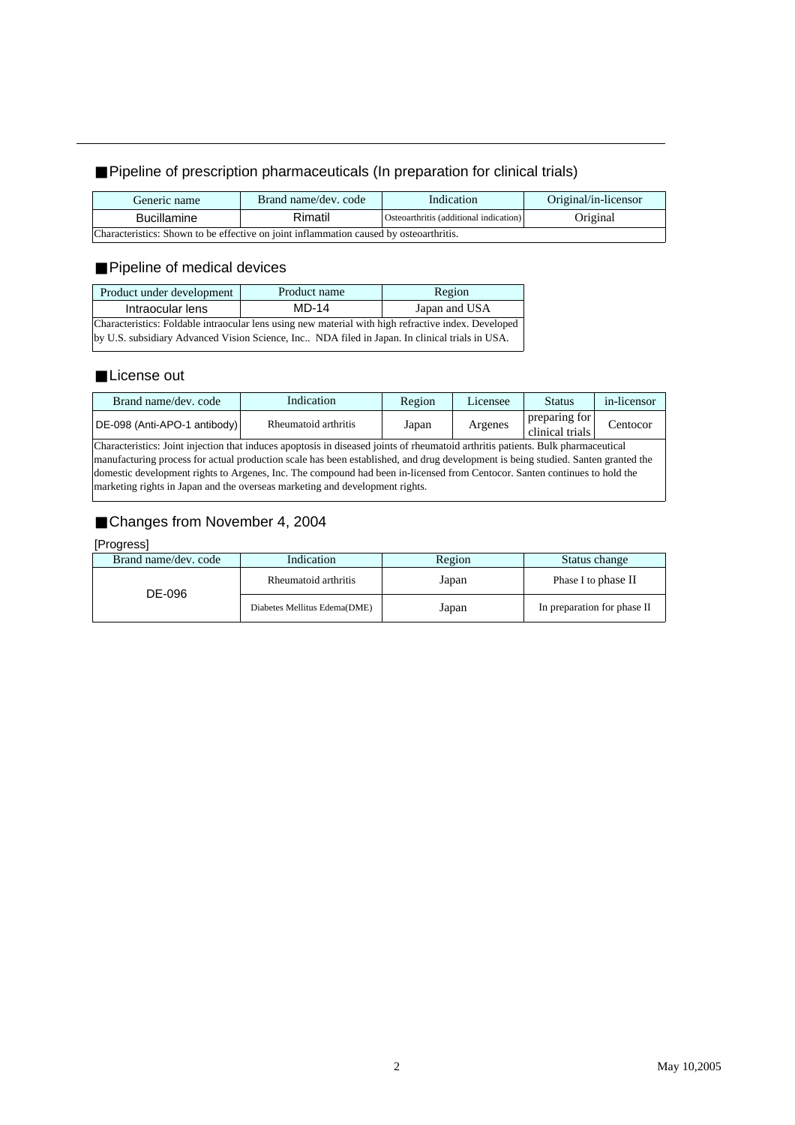#### Pipeline of prescription pharmaceuticals (In preparation for clinical trials)

| Generic name                                                                           | Brand name/dev. code | Indication                             |          |  |  |  |  |
|----------------------------------------------------------------------------------------|----------------------|----------------------------------------|----------|--|--|--|--|
| <b>Bucillamine</b>                                                                     | Rimatil              | Osteoarthritis (additional indication) | Original |  |  |  |  |
| Characteristics: Shown to be effective on joint inflammation caused by osteoarthritis. |                      |                                        |          |  |  |  |  |

#### Pipeline of medical devices

| Product under development                                                                           | Product name | Region        |  |  |  |  |
|-----------------------------------------------------------------------------------------------------|--------------|---------------|--|--|--|--|
| Intraocular lens                                                                                    | $MD-14$      | Japan and USA |  |  |  |  |
| Characteristics: Foldable intraocular lens using new material with high refractive index. Developed |              |               |  |  |  |  |
| by U.S. subsidiary Advanced Vision Science, Inc NDA filed in Japan. In clinical trials in USA.      |              |               |  |  |  |  |

#### License out

| Brand name/dev. code         | Indication           | Region | Licensee | <b>Status</b>                    | in-licensor |
|------------------------------|----------------------|--------|----------|----------------------------------|-------------|
| DE-098 (Anti-APO-1 antibody) | Rheumatoid arthritis | Japan  | Argenes  | preparing for<br>clinical trials | entocor_    |

Characteristics: Joint injection that induces apoptosis in diseased joints of rheumatoid arthritis patients. Bulk pharmaceutical manufacturing process for actual production scale has been established, and drug development is being studied. Santen granted the domestic development rights to Argenes, Inc. The compound had been in-licensed from Centocor. Santen continues to hold the marketing rights in Japan and the overseas marketing and development rights.

#### Changes from November 4, 2004

#### [Progress]

| Brand name/dev. code | Indication                   | Region | Status change               |  |  |
|----------------------|------------------------------|--------|-----------------------------|--|--|
| DE-096               | Rheumatoid arthritis         | Japan  | Phase I to phase II         |  |  |
|                      | Diabetes Mellitus Edema(DME) | Japan  | In preparation for phase II |  |  |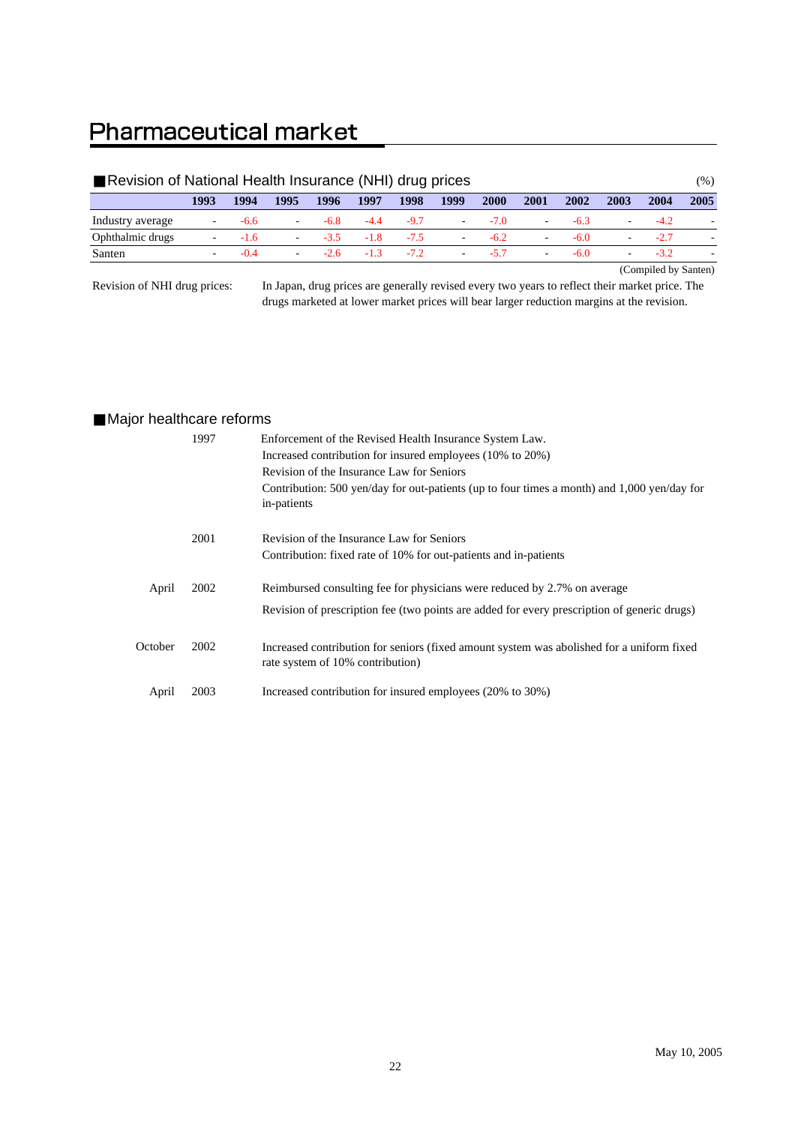### **Pharmaceutical market**

| Revision of National Health Insurance (NHI) drug prices |                          |        |        |        |        |        |                          |        |                          |        |                          |        | $(\%)$ |
|---------------------------------------------------------|--------------------------|--------|--------|--------|--------|--------|--------------------------|--------|--------------------------|--------|--------------------------|--------|--------|
|                                                         | 1993                     | 1994   | 1995   | 1996   | 1997   | 1998   | 1999                     | 2000   | 2001                     | 2002   | 2003                     | 2004   | 2005   |
| Industry average                                        |                          | -6.6   | $\sim$ | -6.8   | $-4.4$ | $-9.7$ | $\overline{\phantom{a}}$ | $-7.0$ | ۰                        | $-6.3$ |                          | -4.2   |        |
| Ophthalmic drugs                                        | $\overline{\phantom{a}}$ | $-1.6$ | $\sim$ | $-3.5$ | $-1.8$ | $-7.5$ | $\sim$                   | $-6.2$ | $\overline{\phantom{a}}$ | $-6.0$ |                          | $-2.7$ |        |
| Santen                                                  |                          | $-0.4$ | $\sim$ | $-26$  | $-1.3$ | $-7.2$ | $\overline{\phantom{a}}$ | $-5.7$ | $\overline{\phantom{a}}$ | $-6.0$ | $\overline{\phantom{a}}$ | $-3.2$ |        |
|                                                         | (Compiled by Santen)     |        |        |        |        |        |                          |        |                          |        |                          |        |        |

Revision of NHI drug prices:

In Japan, drug prices are generally revised every two years to reflect their market price. The drugs marketed at lower market prices will bear larger reduction margins at the revision.

#### Major healthcare reforms

|         | 1997 | Enforcement of the Revised Health Insurance System Law.<br>Increased contribution for insured employees (10% to 20%)<br>Revision of the Insurance Law for Seniors<br>Contribution: 500 yen/day for out-patients (up to four times a month) and 1,000 yen/day for<br>in-patients |
|---------|------|---------------------------------------------------------------------------------------------------------------------------------------------------------------------------------------------------------------------------------------------------------------------------------|
|         | 2001 | Revision of the Insurance Law for Seniors<br>Contribution: fixed rate of 10% for out-patients and in-patients                                                                                                                                                                   |
| April   | 2002 | Reimbursed consulting fee for physicians were reduced by 2.7% on average<br>Revision of prescription fee (two points are added for every prescription of generic drugs)                                                                                                         |
| October | 2002 | Increased contribution for seniors (fixed amount system was abolished for a uniform fixed<br>rate system of 10% contribution)                                                                                                                                                   |
| April   | 2003 | Increased contribution for insured employees (20% to 30%)                                                                                                                                                                                                                       |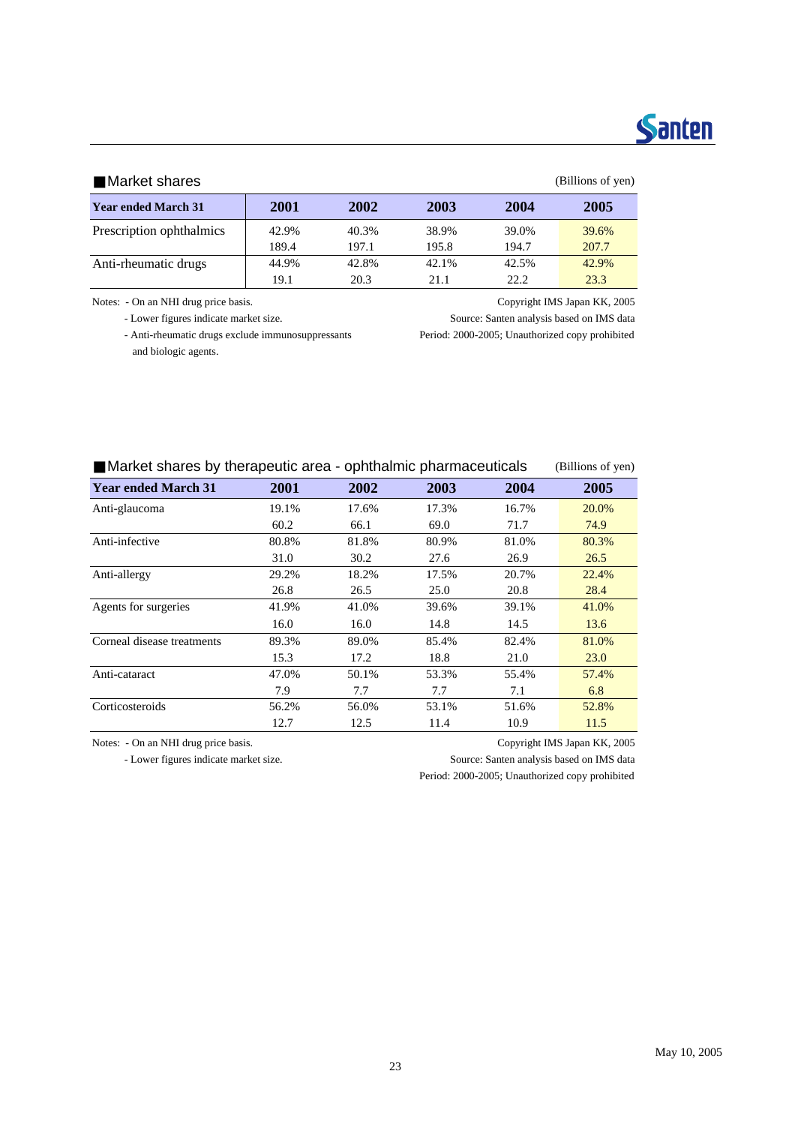## **Santen**

#### Market shares (Billions of yen)

|                            |       |       |       |       | <u>.</u> |
|----------------------------|-------|-------|-------|-------|----------|
| <b>Year ended March 31</b> | 2001  | 2002  | 2003  | 2004  | 2005     |
| Prescription ophthalmics   | 42.9% | 40.3% | 38.9% | 39.0% | 39.6%    |
|                            | 189.4 | 197.1 | 195.8 | 194.7 | 207.7    |
| Anti-rheumatic drugs       | 44.9% | 42.8% | 42.1% | 42.5% | 42.9%    |
|                            | 19.1  | 20.3  | 21.1  | 22.2. | 23.3     |

 - Anti-rheumatic drugs exclude immunosuppressants Period: 2000-2005; Unauthorized copy prohibited and biologic agents.

Notes: - On an NHI drug price basis. Copyright IMS Japan KK, 2005

- Lower figures indicate market size. Source: Santen analysis based on IMS data

| Market shares by therapeutic area - ophthalmic pharmaceuticals | (Billions of yen) |      |      |      |      |
|----------------------------------------------------------------|-------------------|------|------|------|------|
| <b>Year ended March 31</b>                                     | 2001              | 2002 | 2003 | 2004 | 2005 |

| Year ended March 31        | 200 I | 2002  | 2003  | 2004  | 2005  |
|----------------------------|-------|-------|-------|-------|-------|
| Anti-glaucoma              | 19.1% | 17.6% | 17.3% | 16.7% | 20.0% |
|                            | 60.2  | 66.1  | 69.0  | 71.7  | 74.9  |
| Anti-infective             | 80.8% | 81.8% | 80.9% | 81.0% | 80.3% |
|                            | 31.0  | 30.2  | 27.6  | 26.9  | 26.5  |
| Anti-allergy               | 29.2% | 18.2% | 17.5% | 20.7% | 22.4% |
|                            | 26.8  | 26.5  | 25.0  | 20.8  | 28.4  |
| Agents for surgeries       | 41.9% | 41.0% | 39.6% | 39.1% | 41.0% |
|                            | 16.0  | 16.0  | 14.8  | 14.5  | 13.6  |
| Corneal disease treatments | 89.3% | 89.0% | 85.4% | 82.4% | 81.0% |
|                            | 15.3  | 17.2  | 18.8  | 21.0  | 23.0  |
| Anti-cataract              | 47.0% | 50.1% | 53.3% | 55.4% | 57.4% |
|                            | 7.9   | 7.7   | 7.7   | 7.1   | 6.8   |
| Corticosteroids            | 56.2% | 56.0% | 53.1% | 51.6% | 52.8% |
|                            | 12.7  | 12.5  | 11.4  | 10.9  | 11.5  |

Notes: - On an NHI drug price basis. Copyright IMS Japan KK, 2005

- Lower figures indicate market size. Source: Santen analysis based on IMS data

Period: 2000-2005; Unauthorized copy prohibited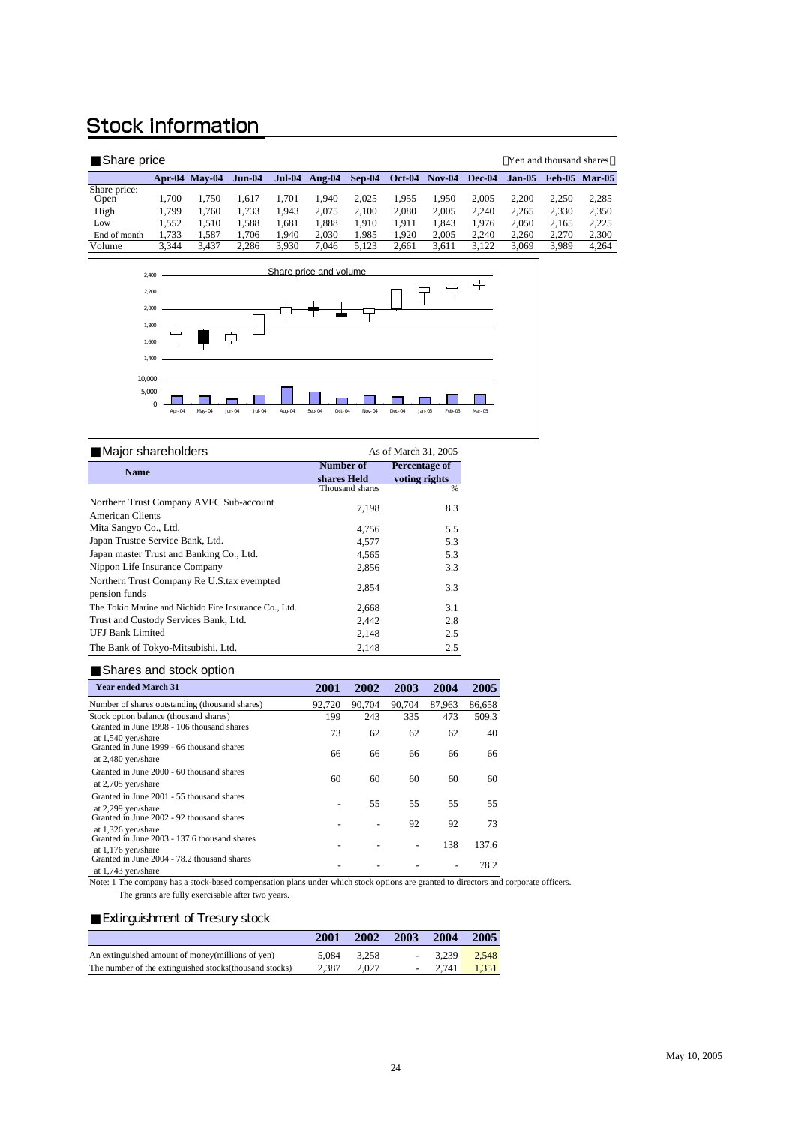### **Stock information**

| Share price          |       |                      |          |               |           |          |          |          |          |          | Yen and thousand shares |                      |
|----------------------|-------|----------------------|----------|---------------|-----------|----------|----------|----------|----------|----------|-------------------------|----------------------|
|                      |       | <b>Apr-04 May-04</b> | $Jun-04$ | <b>Jul-04</b> | Aug- $04$ | $Sep-04$ | $Oct-04$ | $Nov-04$ | $Dec-04$ | $Jan-05$ |                         | <b>Feb-05 Mar-05</b> |
| Share price:<br>Open | 1.700 | 1.750                | 1.617    | 1.701         | . 940     | 2.025    | 1.955    | 1.950    | 2.005    | 2.200    | 2.250                   | 2,285                |
| High                 | 1.799 | 1.760                | 1.733    | 1.943         | 2.075     | 2.100    | 2.080    | 2.005    | 2.240    | 2.265    | 2.330                   | 2,350                |
| Low                  | 1.552 | 1.510                | 1.588    | 1.681         | .888      | 1.910    | 1.911    | 1.843    | 1.976    | 2.050    | 2.165                   | 2,225                |
| End of month         | 1.733 | 1.587                | 1.706    | 1.940         | 2.030     | 1.985    | 1.920    | 2.005    | 2.240    | 2.260    | 2.270                   | 2,300                |
| Volume               | 3.344 | 3.437                | 2.286    | 3.930         | .046      | 5.123    | 2.661    | 3.611    | 3.122    | 3.069    | 3.989                   | 4,264                |



| Major shareholders                                          | As of March 31, 2005     |                                |  |  |  |
|-------------------------------------------------------------|--------------------------|--------------------------------|--|--|--|
| <b>Name</b>                                                 | Number of<br>shares Held | Percentage of<br>voting rights |  |  |  |
|                                                             | Thousand shares          | %                              |  |  |  |
| Northern Trust Company AVFC Sub-account<br>American Clients | 7,198                    | 8.3                            |  |  |  |
| Mita Sangyo Co., Ltd.                                       | 4,756                    | 5.5                            |  |  |  |
| Japan Trustee Service Bank, Ltd.                            | 4,577                    | 5.3                            |  |  |  |
| Japan master Trust and Banking Co., Ltd.                    | 4,565                    | 5.3                            |  |  |  |
| Nippon Life Insurance Company                               | 2,856                    | 3.3                            |  |  |  |
| Northern Trust Company Re U.S.tax evempted<br>pension funds | 2,854                    | 3.3                            |  |  |  |
| The Tokio Marine and Nichido Fire Insurance Co., Ltd.       | 2,668                    | 3.1                            |  |  |  |
| Trust and Custody Services Bank, Ltd.                       | 2,442                    | 2.8                            |  |  |  |
| <b>UFJ Bank Limited</b>                                     | 2,148                    | 2.5                            |  |  |  |
| The Bank of Tokyo-Mitsubishi, Ltd.                          | 2,148                    | 2.5                            |  |  |  |

#### Shares and stock option

| <b>Year ended March 31</b>                                           | 2001   | 2002   | 2003   | 2004   | 2005   |
|----------------------------------------------------------------------|--------|--------|--------|--------|--------|
| Number of shares outstanding (thousand shares)                       | 92.720 | 90.704 | 90.704 | 87.963 | 86,658 |
| Stock option balance (thousand shares)                               | 199    | 243    | 335    | 473    | 509.3  |
| Granted in June 1998 - 106 thousand shares<br>at 1,540 yen/share     | 73     | 62     | 62     | 62     | 40     |
| Granted in June 1999 - 66 thousand shares<br>at 2,480 yen/share      | 66     | 66     | 66     | 66     | 66     |
| Granted in June 2000 - 60 thousand shares<br>at 2,705 yen/share      | 60     | 60     | 60     | 60     | 60     |
| Granted in June 2001 - 55 thousand shares<br>at 2,299 yen/share      |        | 55     | 55     | 55     | 55     |
| Granted in June 2002 - 92 thousand shares<br>at 1,326 yen/share      |        |        | 92     | 92     | 73     |
| Granted in June 2003 - 137.6 thousand shares<br>at $1,176$ yen/share |        |        |        | 138    | 137.6  |
| Granted in June 2004 - 78.2 thousand shares<br>at 1,743 yen/share    |        |        |        |        | 78.2   |

 The grants are fully exercisable after two years. Note: 1 The company has a stock-based compensation plans under which stock options are granted to directors and corporate officers.

#### **Extinguishment of Tresury stock**

|                                                         | 2001  | 2002  | 2003 | 2004     | 2005  |
|---------------------------------------------------------|-------|-------|------|----------|-------|
| An extinguished amount of money (millions of yen)       | 5.084 | 3.258 |      | 3.239    | 2.548 |
| The number of the extinguished stocks (thousand stocks) | 2.387 | 2.027 |      | $-2.741$ | 1.351 |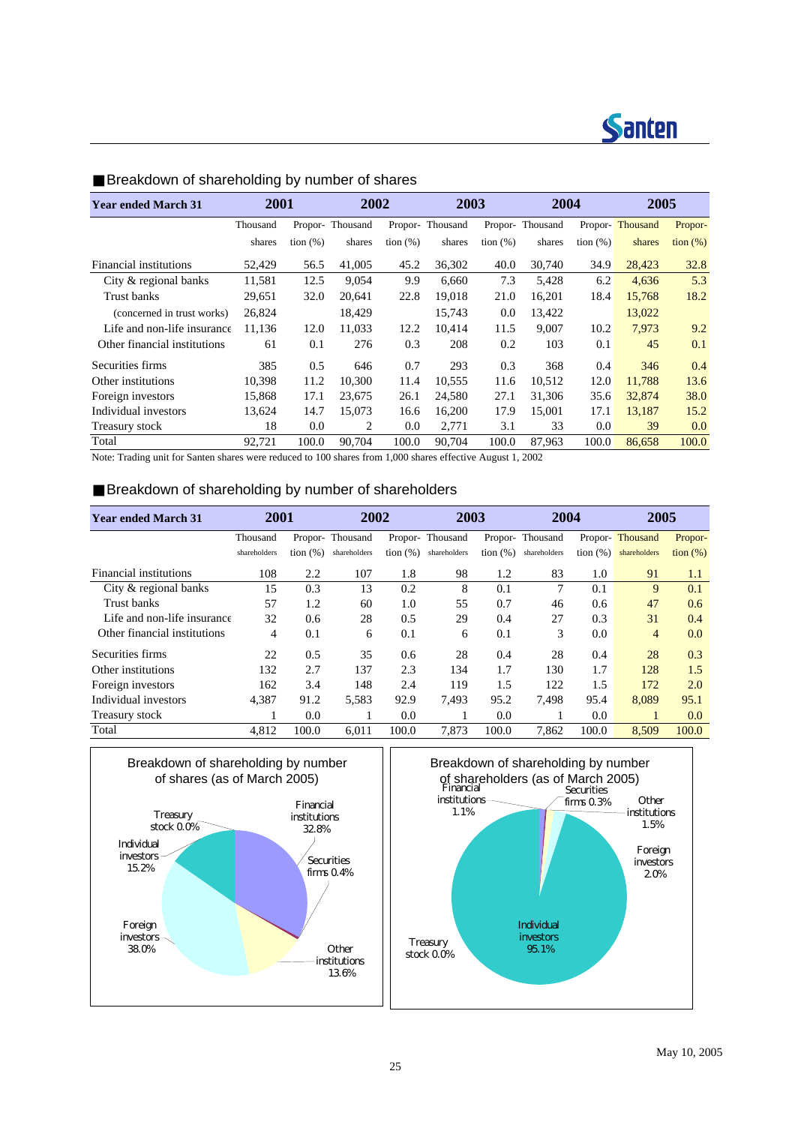

| <b>Year ended March 31</b>   | 2001     |             |                 | 2002        |                 | 2003        | 2004            |             | 2005            |                   |
|------------------------------|----------|-------------|-----------------|-------------|-----------------|-------------|-----------------|-------------|-----------------|-------------------|
|                              | Thousand |             | Propor-Thousand |             | Propor-Thousand |             | Propor-Thousand |             | Propor-Thousand | Propor-           |
|                              | shares   | tion $(\%)$ | shares          | tion $(\%)$ | shares          | tion $(\%)$ | shares          | tion $(\%)$ | shares          | $\frac{1}{2}$ (%) |
| Financial institutions       | 52,429   | 56.5        | 41,005          | 45.2        | 36,302          | 40.0        | 30,740          | 34.9        | 28,423          | 32.8              |
| City & regional banks        | 11,581   | 12.5        | 9.054           | 9.9         | 6.660           | 7.3         | 5,428           | 6.2         | 4,636           | 5.3               |
| Trust banks                  | 29,651   | 32.0        | 20.641          | 22.8        | 19.018          | 21.0        | 16,201          | 18.4        | 15,768          | 18.2              |
| (concerned in trust works)   | 26,824   |             | 18,429          |             | 15,743          | 0.0         | 13,422          |             | 13,022          |                   |
| Life and non-life insurance  | 11,136   | 12.0        | 11.033          | 12.2        | 10.414          | 11.5        | 9.007           | 10.2        | 7,973           | 9.2               |
| Other financial institutions | 61       | 0.1         | 276             | 0.3         | 208             | 0.2         | 103             | 0.1         | 45              | 0.1               |
| Securities firms             | 385      | 0.5         | 646             | 0.7         | 293             | 0.3         | 368             | 0.4         | 346             | 0.4               |
| Other institutions           | 10,398   | 11.2        | 10,300          | 11.4        | 10,555          | 11.6        | 10,512          | 12.0        | 11,788          | 13.6              |
| Foreign investors            | 15,868   | 17.1        | 23.675          | 26.1        | 24,580          | 27.1        | 31,306          | 35.6        | 32,874          | 38.0              |
| Individual investors         | 13,624   | 14.7        | 15,073          | 16.6        | 16,200          | 17.9        | 15,001          | 17.1        | 13,187          | 15.2              |
| Treasury stock               | 18       | 0.0         | 2               | 0.0         | 2,771           | 3.1         | 33              | 0.0         | 39              | 0.0               |
| Total                        | 92.721   | 100.0       | 90.704          | 100.0       | 90.704          | 100.0       | 87.963          | 100.0       | 86,658          | 100.0             |

#### Breakdown of shareholding by number of shares

Note: Trading unit for Santen shares were reduced to 100 shares from 1,000 shares effective August 1, 2002

#### Breakdown of shareholding by number of shareholders

| <b>Year ended March 31</b>   | 2001         |             | 2002            |                   | 2003            |                   | 2004            |             | 2005            |             |
|------------------------------|--------------|-------------|-----------------|-------------------|-----------------|-------------------|-----------------|-------------|-----------------|-------------|
|                              | Thousand     |             | Propor-Thousand |                   | Propor-Thousand |                   | Propor-Thousand |             | Propor-Thousand | Propor-     |
|                              | shareholders | tion $(\%)$ | shareholders    | $\frac{1}{2}$ (%) | shareholders    | $\frac{1}{2}$ (%) | shareholders    | tion $(\%)$ | shareholders    | tion $(\%)$ |
| Financial institutions       | 108          | 2.2         | 107             | 1.8               | 98              | 1.2               | 83              | 1.0         | 91              | 1.1         |
| City & regional banks        | 15           | 0.3         | 13              | 0.2               | 8               | 0.1               | 7               | 0.1         | 9               | 0.1         |
| Trust banks                  | 57           | 1.2         | 60              | 1.0               | 55              | 0.7               | 46              | 0.6         | 47              | 0.6         |
| Life and non-life insurance  | 32           | 0.6         | 28              | 0.5               | 29              | 0.4               | 27              | 0.3         | 31              | 0.4         |
| Other financial institutions | 4            | 0.1         | 6               | 0.1               | 6               | 0.1               | 3               | 0.0         | $\overline{4}$  | 0.0         |
| Securities firms             | 22           | 0.5         | 35              | 0.6               | 28              | 0.4               | 28              | 0.4         | 28              | 0.3         |
| Other institutions           | 132          | 2.7         | 137             | 2.3               | 134             | 1.7               | 130             | 1.7         | 128             | 1.5         |
| Foreign investors            | 162          | 3.4         | 148             | 2.4               | 119             | 1.5               | 122             | 1.5         | 172             | 2.0         |
| Individual investors         | 4,387        | 91.2        | 5,583           | 92.9              | 7.493           | 95.2              | 7,498           | 95.4        | 8,089           | 95.1        |
| Treasury stock               |              | 0.0         |                 | 0.0               |                 | 0.0               |                 | 0.0         |                 | 0.0         |
| Total                        | 4.812        | 100.0       | 6.011           | 100.0             | 7.873           | 100.0             | 7.862           | 100.0       | 8,509           | 100.0       |



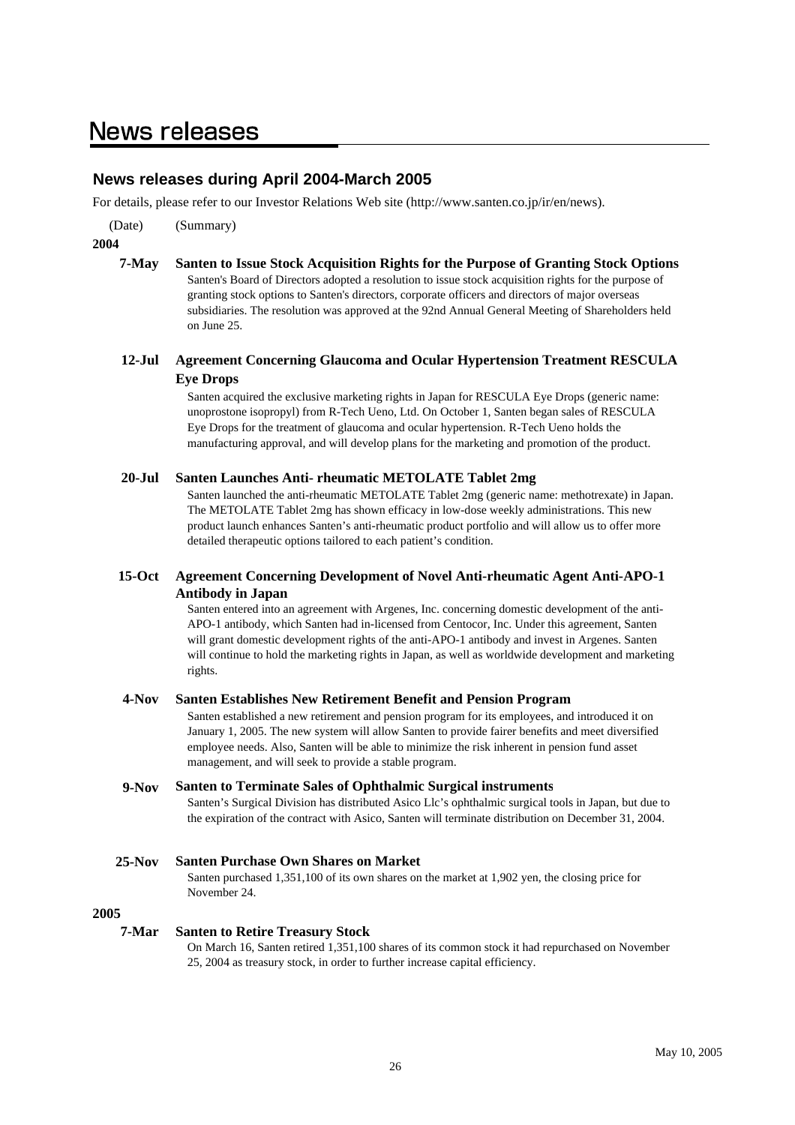### **News releases**

#### **News releases during April 2004-March 2005**

For details, please refer to our Investor Relations Web site (http://www.santen.co.jp/ir/en/news).

(Date) (Summary)

**2004**

**7-May Santen to Issue Stock Acquisition Rights for the Purpose of Granting Stock Options** Santen's Board of Directors adopted a resolution to issue stock acquisition rights for the purpose of granting stock options to Santen's directors, corporate officers and directors of major overseas subsidiaries. The resolution was approved at the 92nd Annual General Meeting of Shareholders held on June 25.

#### **12-Jul Agreement Concerning Glaucoma and Ocular Hypertension Treatment RESCULA Eye Drops**

Santen acquired the exclusive marketing rights in Japan for RESCULA Eye Drops (generic name: unoprostone isopropyl) from R-Tech Ueno, Ltd. On October 1, Santen began sales of RESCULA Eye Drops for the treatment of glaucoma and ocular hypertension. R-Tech Ueno holds the manufacturing approval, and will develop plans for the marketing and promotion of the product.

#### **20-Jul Santen Launches Anti- rheumatic METOLATE Tablet 2mg**

Santen launched the anti-rheumatic METOLATE Tablet 2mg (generic name: methotrexate) in Japan. The METOLATE Tablet 2mg has shown efficacy in low-dose weekly administrations. This new product launch enhances Santen's anti-rheumatic product portfolio and will allow us to offer more detailed therapeutic options tailored to each patient's condition.

#### **15-Oct Agreement Concerning Development of Novel Anti-rheumatic Agent Anti-APO-1 Antibody in Japan**

Santen entered into an agreement with Argenes, Inc. concerning domestic development of the anti-APO-1 antibody, which Santen had in-licensed from Centocor, Inc. Under this agreement, Santen will grant domestic development rights of the anti-APO-1 antibody and invest in Argenes. Santen will continue to hold the marketing rights in Japan, as well as worldwide development and marketing rights.

#### **4-Nov Santen Establishes New Retirement Benefit and Pension Program**

Santen established a new retirement and pension program for its employees, and introduced it on January 1, 2005. The new system will allow Santen to provide fairer benefits and meet diversified employee needs. Also, Santen will be able to minimize the risk inherent in pension fund asset management, and will seek to provide a stable program.

#### **9-Nov Santen to Terminate Sales of Ophthalmic Surgical instruments**

Santen's Surgical Division has distributed Asico Llc's ophthalmic surgical tools in Japan, but due to the expiration of the contract with Asico, Santen will terminate distribution on December 31, 2004.

#### **25-Nov Santen Purchase Own Shares on Market**

Santen purchased 1,351,100 of its own shares on the market at 1,902 yen, the closing price for November 24.

#### **2005**

#### **7-Mar Santen to Retire Treasury Stock**

On March 16, Santen retired 1,351,100 shares of its common stock it had repurchased on November 25, 2004 as treasury stock, in order to further increase capital efficiency.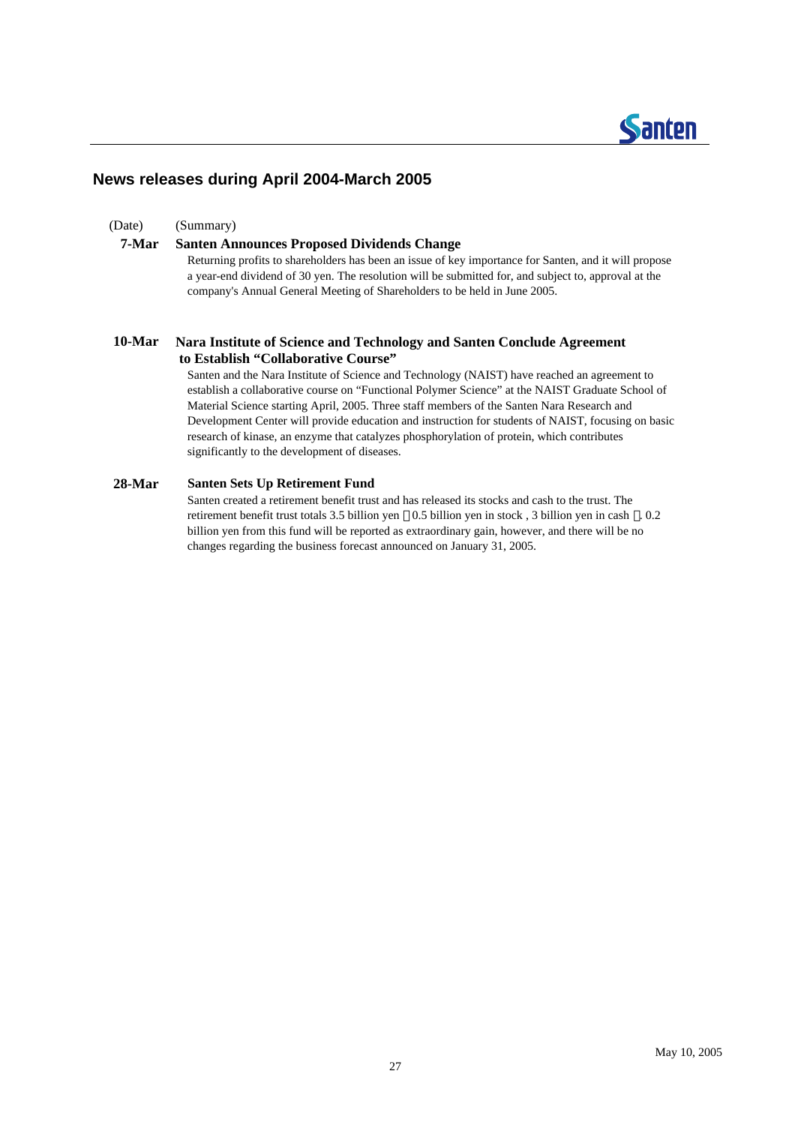## **Santen**

#### **News releases during April 2004-March 2005**

(Date) (Summary)

#### **7-Mar Santen Announces Proposed Dividends Change**

Returning profits to shareholders has been an issue of key importance for Santen, and it will propose a year-end dividend of 30 yen. The resolution will be submitted for, and subject to, approval at the company's Annual General Meeting of Shareholders to be held in June 2005.

#### **10-Mar Nara Institute of Science and Technology and Santen Conclude Agreement to Establish "Collaborative Course"**

Santen and the Nara Institute of Science and Technology (NAIST) have reached an agreement to establish a collaborative course on "Functional Polymer Science" at the NAIST Graduate School of Material Science starting April, 2005. Three staff members of the Santen Nara Research and Development Center will provide education and instruction for students of NAIST, focusing on basic research of kinase, an enzyme that catalyzes phosphorylation of protein, which contributes significantly to the development of diseases.

#### **28-Mar Santen Sets Up Retirement Fund**

Santen created a retirement benefit trust and has released its stocks and cash to the trust. The retirement benefit trust totals 3.5 billion yen 0.5 billion yen in stock , 3 billion yen in cash . 0.2 billion yen from this fund will be reported as extraordinary gain, however, and there will be no changes regarding the business forecast announced on January 31, 2005.